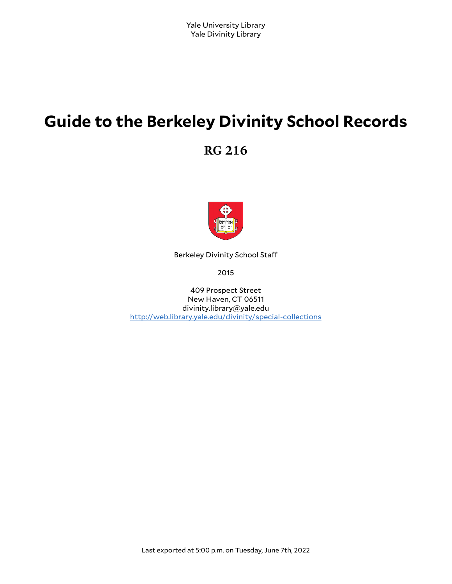# **Guide to the Berkeley Divinity School Records**

**RG 216**



Berkeley Divinity School Sta

2015

409 Prospect Street New Haven, CT 06511 divinity.library@yale.edu <http://web.library.yale.edu/divinity/special-collections>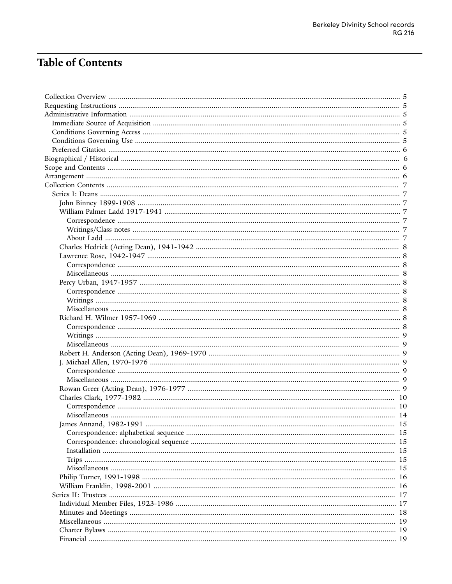# **Table of Contents**

|  |  | -15 |  |
|--|--|-----|--|
|  |  |     |  |
|  |  |     |  |
|  |  |     |  |
|  |  |     |  |
|  |  |     |  |
|  |  |     |  |
|  |  |     |  |
|  |  |     |  |
|  |  |     |  |
|  |  |     |  |
|  |  |     |  |
|  |  |     |  |
|  |  |     |  |
|  |  |     |  |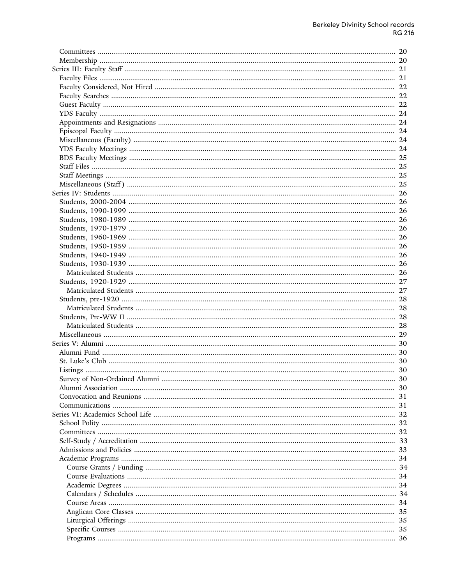| 20 |
|----|
| 20 |
| 21 |
| 21 |
| 22 |
| 22 |
| 22 |
| 24 |
| 24 |
| 24 |
| 24 |
| 24 |
| 25 |
| 25 |
| 25 |
| 25 |
| 26 |
| 26 |
| 26 |
| 26 |
| 26 |
| 26 |
| 26 |
| 26 |
| 26 |
| 26 |
| 27 |
| 27 |
| 28 |
| 28 |
| 28 |
| 28 |
| 29 |
| 30 |
| 30 |
| 30 |
|    |
|    |
| 30 |
| 31 |
| 31 |
| 32 |
| 32 |
| 32 |
| 33 |
| 33 |
|    |
|    |
|    |
|    |
|    |
| 34 |
| 35 |
| 35 |
| 35 |
|    |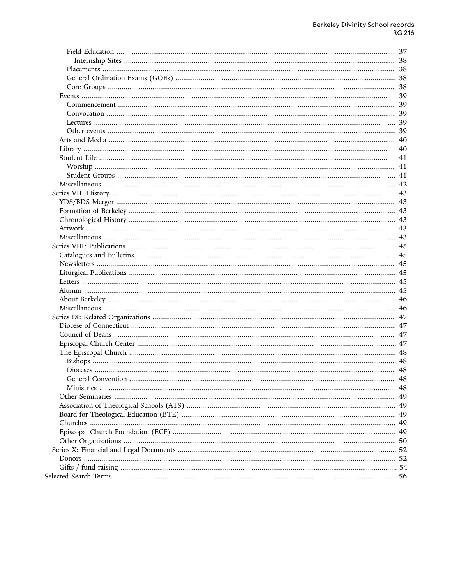| 37 |
|----|
| 38 |
| 38 |
|    |
| 38 |
| 39 |
| 39 |
| 39 |
|    |
|    |
| 40 |
| 40 |
| 41 |
| 41 |
| 41 |
| 42 |
| 43 |
| 43 |
|    |
|    |
|    |
|    |
| 45 |
| 45 |
| 45 |
|    |
| 45 |
|    |
|    |
|    |
| 47 |
| 47 |
| 47 |
|    |
| 48 |
| 48 |
|    |
|    |
|    |
|    |
|    |
|    |
|    |
|    |
|    |
|    |
|    |
|    |
|    |
|    |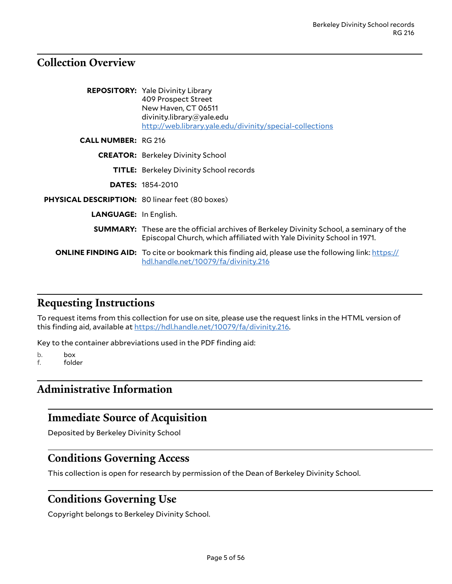# <span id="page-4-0"></span>**Collection Overview**

|                                                        | <b>REPOSITORY:</b> Yale Divinity Library<br>409 Prospect Street<br>New Haven, CT 06511<br>divinity.library@yale.edu<br>http://web.library.yale.edu/divinity/special-collections |
|--------------------------------------------------------|---------------------------------------------------------------------------------------------------------------------------------------------------------------------------------|
| <b>CALL NUMBER: RG 216</b>                             |                                                                                                                                                                                 |
|                                                        | <b>CREATOR:</b> Berkeley Divinity School                                                                                                                                        |
|                                                        | <b>TITLE:</b> Berkeley Divinity School records                                                                                                                                  |
|                                                        | <b>DATES: 1854-2010</b>                                                                                                                                                         |
| <b>PHYSICAL DESCRIPTION: 80 linear feet (80 boxes)</b> |                                                                                                                                                                                 |
| <b>LANGUAGE:</b> In English.                           |                                                                                                                                                                                 |
|                                                        | <b>SUMMARY:</b> These are the official archives of Berkeley Divinity School, a seminary of the<br>Episcopal Church, which affiliated with Yale Divinity School in 1971.         |
|                                                        | <b>ONLINE FINDING AID:</b> To cite or bookmark this finding aid, please use the following link: https://<br>hdl.handle.net/10079/fa/divinity.216                                |

### <span id="page-4-1"></span>**Requesting Instructions**

To request items from this collection for use on site, please use the request links in the HTML version of this finding aid, available at [https://hdl.handle.net/10079/fa/divinity.216.](https://hdl.handle.net/10079/fa/divinity.216)

Key to the container abbreviations used in the PDF finding aid:

- b. box<br>f. fold
- folder

# <span id="page-4-2"></span>**Administrative Information**

### <span id="page-4-3"></span>**Immediate Source of Acquisition**

Deposited by Berkeley Divinity School

### <span id="page-4-4"></span>**Conditions Governing Access**

This collection is open for research by permission of the Dean of Berkeley Divinity School.

# <span id="page-4-5"></span>**Conditions Governing Use**

Copyright belongs to Berkeley Divinity School.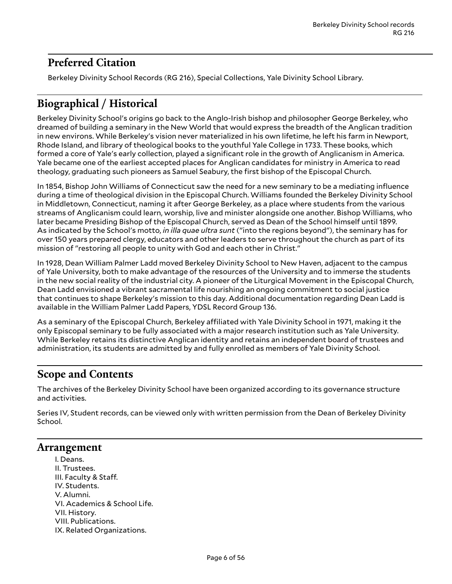# <span id="page-5-0"></span>**Preferred Citation**

Berkeley Divinity School Records (RG 216), Special Collections, Yale Divinity School Library.

# <span id="page-5-1"></span>**Biographical / Historical**

Berkeley Divinity School's origins go back to the Anglo-Irish bishop and philosopher George Berkeley, who dreamed of building a seminary in the New World that would express the breadth of the Anglican tradition in new environs. While Berkeley's vision never materialized in his own lifetime, he left his farm in Newport, Rhode Island, and library of theological books to the youthful Yale College in 1733. These books, which formed a core of Yale's early collection, played a significant role in the growth of Anglicanism in America. Yale became one of the earliest accepted places for Anglican candidates for ministry in America to read theology, graduating such pioneers as Samuel Seabury, the first bishop of the Episcopal Church.

In 1854, Bishop John Williams of Connecticut saw the need for a new seminary to be a mediating influence during a time of theological division in the Episcopal Church. Williams founded the Berkeley Divinity School in Middletown, Connecticut, naming it after George Berkeley, as a place where students from the various streams of Anglicanism could learn, worship, live and minister alongside one another. Bishop Williams, who later became Presiding Bishop of the Episcopal Church, served as Dean of the School himself until 1899. As indicated by the School's motto, *in illa quae ultra sunt* ("into the regions beyond"), the seminary has for over 150 years prepared clergy, educators and other leaders to serve throughout the church as part of its mission of "restoring all people to unity with God and each other in Christ."

In 1928, Dean William Palmer Ladd moved Berkeley Divinity School to New Haven, adjacent to the campus of Yale University, both to make advantage of the resources of the University and to immerse the students in the new social reality of the industrial city. A pioneer of the Liturgical Movement in the Episcopal Church, Dean Ladd envisioned a vibrant sacramental life nourishing an ongoing commitment to social justice that continues to shape Berkeley's mission to this day. Additional documentation regarding Dean Ladd is available in the William Palmer Ladd Papers, YDSL Record Group 136.

As a seminary of the Episcopal Church, Berkeley affiliated with Yale Divinity School in 1971, making it the only Episcopal seminary to be fully associated with a major research institution such as Yale University. While Berkeley retains its distinctive Anglican identity and retains an independent board of trustees and administration, its students are admitted by and fully enrolled as members of Yale Divinity School.

# <span id="page-5-2"></span>**Scope and Contents**

The archives of the Berkeley Divinity School have been organized according to its governance structure and activities.

Series IV, Student records, can be viewed only with written permission from the Dean of Berkeley Divinity School.

### <span id="page-5-3"></span>**Arrangement**

I. Deans. II. Trustees. III. Faculty & Staff. IV. Students. V. Alumni. VI. Academics & School Life. VII. History. VIII. Publications. IX. Related Organizations.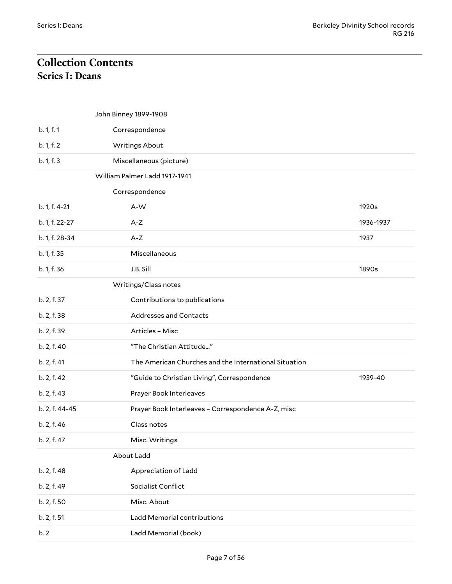# <span id="page-6-1"></span><span id="page-6-0"></span>**Collection Contents Series I: Deans**

<span id="page-6-6"></span><span id="page-6-5"></span><span id="page-6-4"></span><span id="page-6-3"></span><span id="page-6-2"></span>

|                | John Binney 1899-1908                                 |           |
|----------------|-------------------------------------------------------|-----------|
| b. 1, f. 1     | Correspondence                                        |           |
| b. 1, f. 2     | <b>Writings About</b>                                 |           |
| b. 1, f. 3     | Miscellaneous (picture)                               |           |
|                | William Palmer Ladd 1917-1941                         |           |
|                | Correspondence                                        |           |
| b. 1, f. 4-21  | A-W                                                   | 1920s     |
| b. 1, f. 22-27 | $A-Z$                                                 | 1936-1937 |
| b. 1, f. 28-34 | $A-Z$                                                 | 1937      |
| b. 1, f. 35    | Miscellaneous                                         |           |
| b. 1, f. 36    | J.B. Sill                                             | 1890s     |
|                | Writings/Class notes                                  |           |
| b. 2, f. 37    | Contributions to publications                         |           |
| b. 2, f. 38    | Addresses and Contacts                                |           |
| b. 2, f. 39    | Articles - Misc                                       |           |
| b. 2, f. 40    | "The Christian Attitude"                              |           |
| b. 2, f. 41    | The American Churches and the International Situation |           |
| b. 2, f. 42    | "Guide to Christian Living", Correspondence           | 1939-40   |
| b. 2, f. 43    | Prayer Book Interleaves                               |           |
| b. 2, f. 44-45 | Prayer Book Interleaves - Correspondence A-Z, misc    |           |
| b. 2, f. 46    | Class notes                                           |           |
| b. 2, f. 47    | Misc. Writings                                        |           |
|                | About Ladd                                            |           |
| b. 2, f. 48    | Appreciation of Ladd                                  |           |
| b. 2, f. 49    | Socialist Conflict                                    |           |
| b. 2, f. 50    | Misc. About                                           |           |
| b. 2, f. 51    | Ladd Memorial contributions                           |           |
| b.2            | Ladd Memorial (book)                                  |           |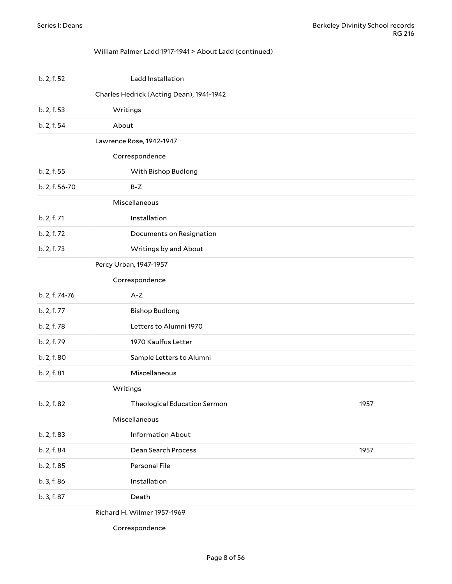#### <span id="page-7-0"></span>William Palmer Ladd 1917-1941 > About Ladd (continued)

<span id="page-7-5"></span><span id="page-7-4"></span><span id="page-7-3"></span><span id="page-7-2"></span><span id="page-7-1"></span>

| b. 2, f. 52    | Ladd Installation                        |      |
|----------------|------------------------------------------|------|
|                | Charles Hedrick (Acting Dean), 1941-1942 |      |
| b. 2, f. 53    | Writings                                 |      |
| b. 2, f. 54    | About                                    |      |
|                | Lawrence Rose, 1942-1947                 |      |
|                | Correspondence                           |      |
| b. 2, f. 55    | With Bishop Budlong                      |      |
| b. 2, f. 56-70 | $B-Z$                                    |      |
|                | Miscellaneous                            |      |
| b. 2, f. 71    | Installation                             |      |
| b. 2, f. 72    | Documents on Resignation                 |      |
| b. 2, f. 73    | Writings by and About                    |      |
|                | Percy Urban, 1947-1957                   |      |
|                | Correspondence                           |      |
| b. 2, f. 74-76 | $A-Z$                                    |      |
| b. 2, f. 77    | <b>Bishop Budlong</b>                    |      |
| b. 2, f. 78    | Letters to Alumni 1970                   |      |
| b. 2, f. 79    | 1970 Kaulfus Letter                      |      |
| b. 2, f. 80    | Sample Letters to Alumni                 |      |
| b. 2, f. 81    | Miscellaneous                            |      |
|                | Writings                                 |      |
| b. 2, f. 82    | Theological Education Sermon             | 1957 |
|                | Miscellaneous                            |      |
| b. 2, f. 83    | <b>Information About</b>                 |      |
| b. 2, f. 84    | Dean Search Process                      | 1957 |
| b. 2, f. 85    | Personal File                            |      |
| b. 3, f. 86    | Installation                             |      |
| b. 3, f. 87    | Death                                    |      |
|                |                                          |      |

<span id="page-7-9"></span><span id="page-7-8"></span><span id="page-7-7"></span><span id="page-7-6"></span>Richard H. Wilmer 1957-1969

Correspondence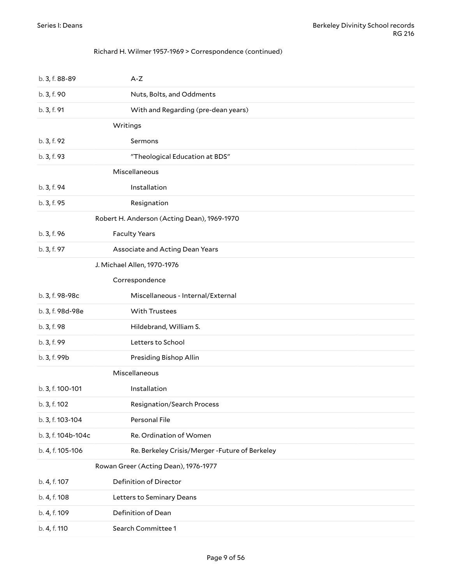#### <span id="page-8-0"></span>Richard H. Wilmer 1957-1969 > Correspondence (continued)

<span id="page-8-6"></span><span id="page-8-5"></span><span id="page-8-4"></span><span id="page-8-3"></span><span id="page-8-2"></span><span id="page-8-1"></span>

| b. 3, f. 88-89     | $A-Z$                                           |
|--------------------|-------------------------------------------------|
| b. 3, f. 90        | Nuts, Bolts, and Oddments                       |
| b. 3, f. 91        | With and Regarding (pre-dean years)             |
|                    | Writings                                        |
| b. 3, f. 92        | Sermons                                         |
| b. 3, f. 93        | "Theological Education at BDS"                  |
|                    | Miscellaneous                                   |
| b. 3, f. 94        | Installation                                    |
| b. 3, f. 95        | Resignation                                     |
|                    | Robert H. Anderson (Acting Dean), 1969-1970     |
| b. 3, f. 96        | <b>Faculty Years</b>                            |
| b. 3, f. 97        | Associate and Acting Dean Years                 |
|                    | J. Michael Allen, 1970-1976                     |
|                    | Correspondence                                  |
| b. 3, f. 98-98c    | Miscellaneous - Internal/External               |
| b. 3, f. 98d-98e   | With Trustees                                   |
| b. 3, f. 98        | Hildebrand, William S.                          |
| b. 3, f. 99        | Letters to School                               |
| b. 3, f. 99b       | Presiding Bishop Allin                          |
|                    | Miscellaneous                                   |
| b. 3, f. 100-101   | Installation                                    |
| b. 3, f. 102       | Resignation/Search Process                      |
| b. 3, f. 103-104   | Personal File                                   |
| b. 3, f. 104b-104c | Re. Ordination of Women                         |
| b. 4, f. 105-106   | Re. Berkeley Crisis/Merger - Future of Berkeley |
|                    | Rowan Greer (Acting Dean), 1976-1977            |
| b. 4, f. 107       | Definition of Director                          |
| b. 4, f. 108       | Letters to Seminary Deans                       |
| b. 4, f. 109       | Definition of Dean                              |
| b. 4, f. 110       | Search Committee 1                              |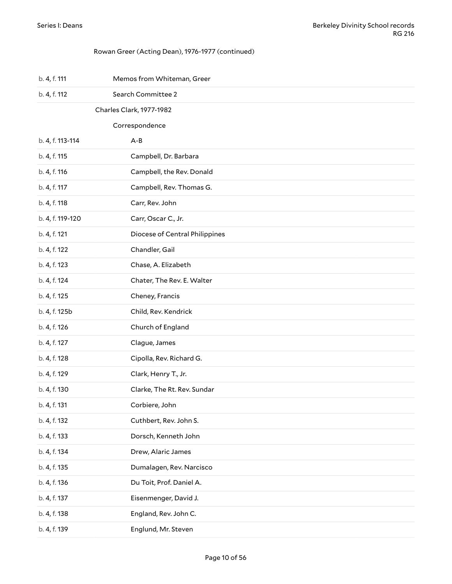#### <span id="page-9-1"></span><span id="page-9-0"></span>Rowan Greer (Acting Dean), 1976-1977 (continued)

| b. 4, f. 111     | Memos from Whiteman, Greer     |
|------------------|--------------------------------|
| b. 4, f. 112     | Search Committee 2             |
|                  | Charles Clark, 1977-1982       |
|                  | Correspondence                 |
| b. 4, f. 113-114 | $A - B$                        |
| b. 4, f. 115     | Campbell, Dr. Barbara          |
| b. 4, f. 116     | Campbell, the Rev. Donald      |
| b. 4, f. 117     | Campbell, Rev. Thomas G.       |
| b. 4, f. 118     | Carr, Rev. John                |
| b. 4, f. 119-120 | Carr, Oscar C., Jr.            |
| b. 4, f. 121     | Diocese of Central Philippines |
| b. 4, f. 122     | Chandler, Gail                 |
| b. 4, f. 123     | Chase, A. Elizabeth            |
| b. 4, f. 124     | Chater, The Rev. E. Walter     |
| b. 4, f. 125     | Cheney, Francis                |
| b. 4, f. 125b    | Child, Rev. Kendrick           |
| b. 4, f. 126     | Church of England              |
| b. 4, f. 127     | Clague, James                  |
| b. 4, f. 128     | Cipolla, Rev. Richard G.       |
| b. 4, f. 129     | Clark, Henry T., Jr.           |
| b. 4, f. 130     | Clarke, The Rt. Rev. Sundar    |
| b. 4, f. 131     | Corbiere, John                 |
| b. 4, f. 132     | Cuthbert, Rev. John S.         |
| b. 4, f. 133     | Dorsch, Kenneth John           |
| b. 4, f. 134     | Drew, Alaric James             |
| b. 4, f. 135     | Dumalagen, Rev. Narcisco       |
| b. 4, f. 136     | Du Toit, Prof. Daniel A.       |
| b. 4, f. 137     | Eisenmenger, David J.          |
| b. 4, f. 138     | England, Rev. John C.          |
| b. 4, f. 139     | Englund, Mr. Steven            |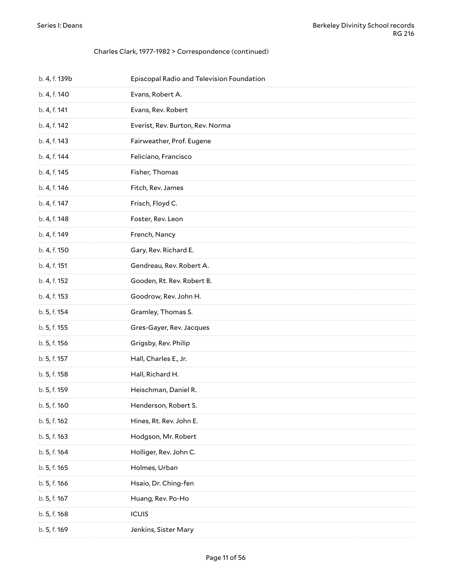| b. 4, f. 139b | Episcopal Radio and Television Foundation |
|---------------|-------------------------------------------|
| b. 4, f. 140  | Evans, Robert A.                          |
| b. 4, f. 141  | Evans, Rev. Robert                        |
| b. 4, f. 142  | Everist, Rev. Burton, Rev. Norma          |
| b. 4, f. 143  | Fairweather, Prof. Eugene                 |
| b. 4, f. 144  | Feliciano, Francisco                      |
| b. 4, f. 145  | Fisher, Thomas                            |
| b. 4, f. 146  | Fitch, Rev. James                         |
| b. 4, f. 147  | Frisch, Floyd C.                          |
| b. 4, f. 148  | Foster, Rev. Leon                         |
| b. 4, f. 149  | French, Nancy                             |
| b. 4, f. 150  | Gary, Rev. Richard E.                     |
| b. 4, f. 151  | Gendreau, Rev. Robert A.                  |
| b. 4, f. 152  | Gooden, Rt. Rev. Robert B.                |
| b. 4, f. 153  | Goodrow, Rev. John H.                     |
| b. 5, f. 154  | Gramley, Thomas S.                        |
| b. 5, f. 155  | Gres-Gayer, Rev. Jacques                  |
| b. 5, f. 156  | Grigsby, Rev. Philip                      |
| b. 5, f. 157  | Hall, Charles E., Jr.                     |
| b. 5, f. 158  | Hall, Richard H.                          |
| b. 5, f. 159  | Heischman, Daniel R.                      |
| b. 5, f. 160  | Henderson, Robert S.                      |
| b. 5, f. 162  | Hines, Rt. Rev. John E.                   |
| b. 5, f. 163  | Hodgson, Mr. Robert                       |
| b. 5, f. 164  | Holliger, Rev. John C.                    |
| b. 5, f. 165  | Holmes, Urban                             |
| b. 5, f. 166  | Hsaio, Dr. Ching-fen                      |
| b. 5, f. 167  | Huang, Rev. Po-Ho                         |
| b. 5, f. 168  | <b>ICUIS</b>                              |
| b. 5, f. 169  | Jenkins, Sister Mary                      |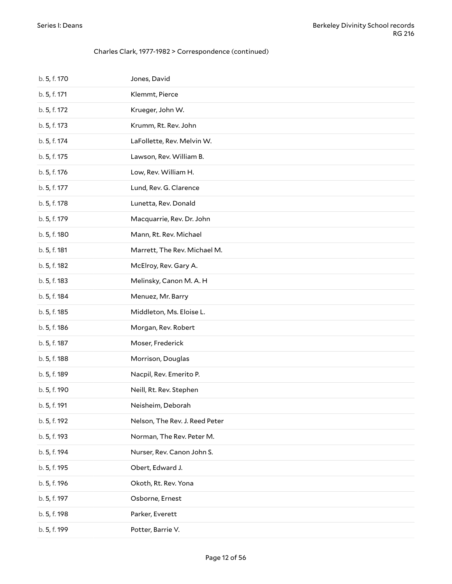| b. 5, f. 170 | Jones, David                   |
|--------------|--------------------------------|
| b. 5, f. 171 | Klemmt, Pierce                 |
| b. 5, f. 172 | Krueger, John W.               |
| b. 5, f. 173 | Krumm, Rt. Rev. John           |
| b. 5, f. 174 | LaFollette, Rev. Melvin W.     |
| b. 5, f. 175 | Lawson, Rev. William B.        |
| b. 5, f. 176 | Low, Rev. William H.           |
| b. 5, f. 177 | Lund, Rev. G. Clarence         |
| b. 5, f. 178 | Lunetta, Rev. Donald           |
| b. 5, f. 179 | Macquarrie, Rev. Dr. John      |
| b. 5, f. 180 | Mann, Rt. Rev. Michael         |
| b. 5, f. 181 | Marrett, The Rev. Michael M.   |
| b. 5, f. 182 | McElroy, Rev. Gary A.          |
| b. 5, f. 183 | Melinsky, Canon M. A. H        |
| b. 5, f. 184 | Menuez, Mr. Barry              |
| b. 5, f. 185 | Middleton, Ms. Eloise L.       |
| b. 5, f. 186 | Morgan, Rev. Robert            |
| b. 5, f. 187 | Moser, Frederick               |
| b. 5, f. 188 | Morrison, Douglas              |
| b. 5, f. 189 | Nacpil, Rev. Emerito P.        |
| b. 5, f. 190 | Neill, Rt. Rev. Stephen        |
| b. 5, f. 191 | Neisheim, Deborah              |
| b. 5, f. 192 | Nelson, The Rev. J. Reed Peter |
| b. 5, f. 193 | Norman, The Rev. Peter M.      |
| b. 5, f. 194 | Nurser, Rev. Canon John S.     |
| b. 5, f. 195 | Obert, Edward J.               |
| b. 5, f. 196 | Okoth, Rt. Rev. Yona           |
| b. 5, f. 197 | Osborne, Ernest                |
| b. 5, f. 198 | Parker, Everett                |
| b. 5, f. 199 | Potter, Barrie V.              |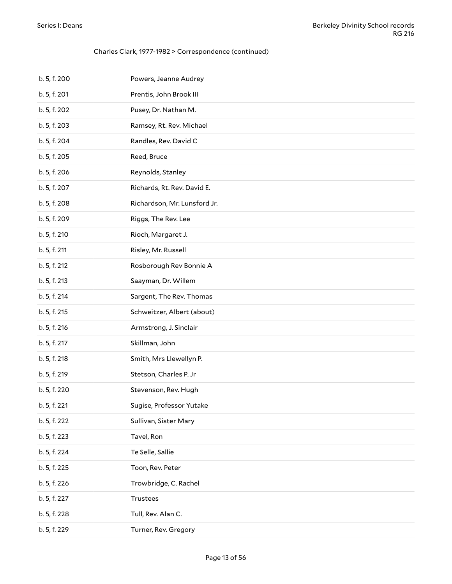| b. 5, f. 200 | Powers, Jeanne Audrey        |
|--------------|------------------------------|
| b. 5, f. 201 | Prentis, John Brook III      |
| b. 5, f. 202 | Pusey, Dr. Nathan M.         |
| b. 5, f. 203 | Ramsey, Rt. Rev. Michael     |
| b. 5, f. 204 | Randles, Rev. David C        |
| b. 5, f. 205 | Reed, Bruce                  |
| b. 5, f. 206 | Reynolds, Stanley            |
| b. 5, f. 207 | Richards, Rt. Rev. David E.  |
| b. 5, f. 208 | Richardson, Mr. Lunsford Jr. |
| b. 5, f. 209 | Riggs, The Rev. Lee          |
| b. 5, f. 210 | Rioch, Margaret J.           |
| b. 5, f. 211 | Risley, Mr. Russell          |
| b. 5, f. 212 | Rosborough Rev Bonnie A      |
| b. 5, f. 213 | Saayman, Dr. Willem          |
| b. 5, f. 214 | Sargent, The Rev. Thomas     |
| b. 5, f. 215 | Schweitzer, Albert (about)   |
| b. 5, f. 216 | Armstrong, J. Sinclair       |
| b. 5, f. 217 | Skillman, John               |
| b. 5, f. 218 | Smith, Mrs Llewellyn P.      |
| b. 5, f. 219 | Stetson, Charles P. Jr       |
| b. 5, f. 220 | Stevenson, Rev. Hugh         |
| b. 5, f. 221 | Sugise, Professor Yutake     |
| b. 5, f. 222 | Sullivan, Sister Mary        |
| b. 5, f. 223 | Tavel, Ron                   |
| b. 5, f. 224 | Te Selle, Sallie             |
| b. 5, f. 225 | Toon, Rev. Peter             |
| b. 5, f. 226 | Trowbridge, C. Rachel        |
| b. 5, f. 227 | Trustees                     |
| b. 5, f. 228 | Tull, Rev. Alan C.           |
| b. 5, f. 229 | Turner, Rev. Gregory         |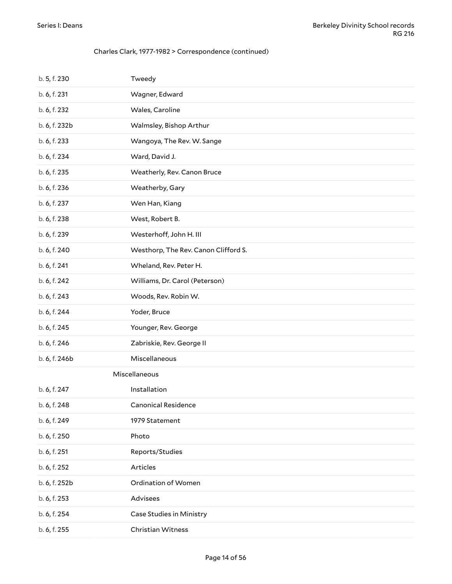<span id="page-13-0"></span>

| b. 5, f. 230  | Tweedy                               |
|---------------|--------------------------------------|
| b. 6, f. 231  | Wagner, Edward                       |
| b. 6, f. 232  | Wales, Caroline                      |
| b. 6, f. 232b | Walmsley, Bishop Arthur              |
| b. 6, f. 233  | Wangoya, The Rev. W. Sange           |
| b. 6, f. 234  | Ward, David J.                       |
| b. 6, f. 235  | Weatherly, Rev. Canon Bruce          |
| b. 6, f. 236  | Weatherby, Gary                      |
| b. 6, f. 237  | Wen Han, Kiang                       |
| b. 6, f. 238  | West, Robert B.                      |
| b. 6, f. 239  | Westerhoff, John H. III              |
| b. 6, f. 240  | Westhorp, The Rev. Canon Clifford S. |
| b. 6, f. 241  | Wheland, Rev. Peter H.               |
| b. 6, f. 242  | Williams, Dr. Carol (Peterson)       |
| b. 6, f. 243  | Woods, Rev. Robin W.                 |
| b. 6, f. 244  | Yoder, Bruce                         |
| b. 6, f. 245  | Younger, Rev. George                 |
| b. 6, f. 246  | Zabriskie, Rev. George II            |
| b. 6, f. 246b | Miscellaneous                        |
|               | Miscellaneous                        |
| b. 6, f. 247  | Installation                         |
| b. 6, f. 248  | <b>Canonical Residence</b>           |
| b. 6, f. 249  | 1979 Statement                       |
| b. 6, f. 250  | Photo                                |
| b. 6, f. 251  | Reports/Studies                      |
| b. 6, f. 252  | Articles                             |
| b. 6, f. 252b | Ordination of Women                  |
| b. 6, f. 253  | Advisees                             |
| b. 6, f. 254  | Case Studies in Ministry             |
| b. 6, f. 255  | Christian Witness                    |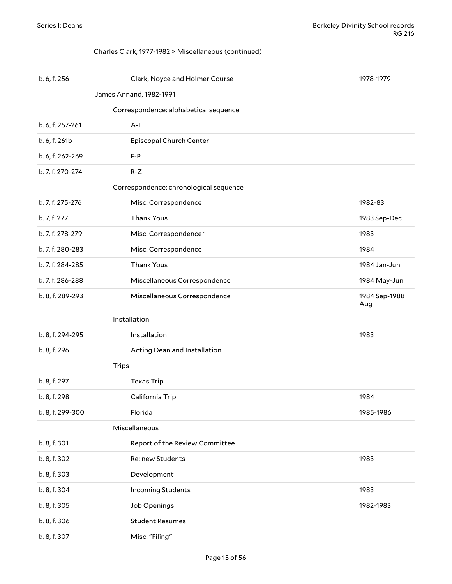#### <span id="page-14-1"></span><span id="page-14-0"></span>Charles Clark, 1977-1982 > Miscellaneous (continued)

<span id="page-14-5"></span><span id="page-14-4"></span><span id="page-14-3"></span><span id="page-14-2"></span>

| b. 6, f. 256     | Clark, Noyce and Holmer Course         | 1978-1979            |
|------------------|----------------------------------------|----------------------|
|                  | James Annand, 1982-1991                |                      |
|                  | Correspondence: alphabetical sequence  |                      |
| b. 6, f. 257-261 | $A - E$                                |                      |
| b. 6, f. 261b    | Episcopal Church Center                |                      |
| b. 6, f. 262-269 | $F - P$                                |                      |
| b. 7, f. 270-274 | $R-Z$                                  |                      |
|                  | Correspondence: chronological sequence |                      |
| b. 7, f. 275-276 | Misc. Correspondence                   | 1982-83              |
| b. 7, f. 277     | Thank Yous                             | 1983 Sep-Dec         |
| b. 7, f. 278-279 | Misc. Correspondence 1                 | 1983                 |
| b. 7, f. 280-283 | Misc. Correspondence                   | 1984                 |
| b. 7, f. 284-285 | Thank Yous                             | 1984 Jan-Jun         |
| b. 7, f. 286-288 | Miscellaneous Correspondence           | 1984 May-Jun         |
| b. 8, f. 289-293 | Miscellaneous Correspondence           | 1984 Sep-1988<br>Aug |
|                  | Installation                           |                      |
| b. 8, f. 294-295 | Installation                           | 1983                 |
| b. 8, f. 296     | Acting Dean and Installation           |                      |
| <b>Trips</b>     |                                        |                      |
| b. 8, f. 297     | <b>Texas Trip</b>                      |                      |
| b. 8, f. 298     | California Trip                        | 1984                 |
| b. 8, f. 299-300 | Florida                                | 1985-1986            |
|                  | Miscellaneous                          |                      |
| b. 8, f. 301     | Report of the Review Committee         |                      |
| b. 8, f. 302     | Re: new Students                       | 1983                 |
| b. 8, f. 303     | Development                            |                      |
| b. 8, f. 304     | <b>Incoming Students</b>               | 1983                 |
| b. 8, f. 305     | Job Openings                           | 1982-1983            |
| b. 8, f. 306     | <b>Student Resumes</b>                 |                      |
| b. 8, f. 307     | Misc. "Filing"                         |                      |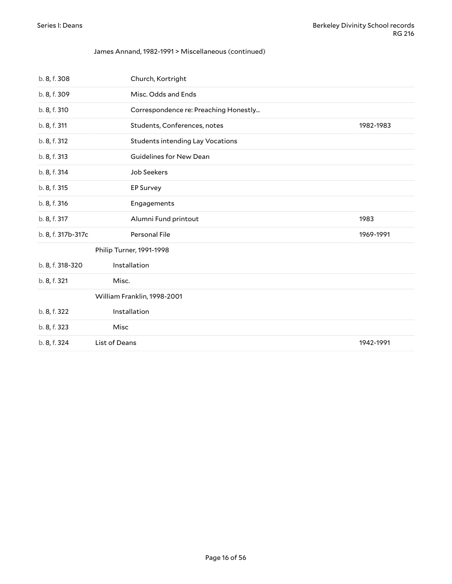#### James Annand, 1982-1991 > Miscellaneous (continued)

<span id="page-15-1"></span><span id="page-15-0"></span>

| b. 8, f. 308       | Church, Kortright                       |           |
|--------------------|-----------------------------------------|-----------|
| b. 8, f. 309       | Misc. Odds and Ends                     |           |
| b. 8, f. 310       | Correspondence re: Preaching Honestly   |           |
| b. 8, f. 311       | Students, Conferences, notes            | 1982-1983 |
| b. 8, f. 312       | <b>Students intending Lay Vocations</b> |           |
| b. 8, f. 313       | Guidelines for New Dean                 |           |
| b. 8, f. 314       | Job Seekers                             |           |
| b. 8, f. 315       | <b>EP Survey</b>                        |           |
| b. 8, f. 316       | Engagements                             |           |
| b. 8, f. 317       | Alumni Fund printout                    | 1983      |
| b. 8, f. 317b-317c | Personal File                           | 1969-1991 |
|                    | Philip Turner, 1991-1998                |           |
| b. 8, f. 318-320   | Installation                            |           |
| b. 8, f. 321       | Misc.                                   |           |
|                    | William Franklin, 1998-2001             |           |
| b. 8, f. 322       | Installation                            |           |
| b. 8, f. 323       | Misc                                    |           |
| b. 8, f. 324       | List of Deans                           | 1942-1991 |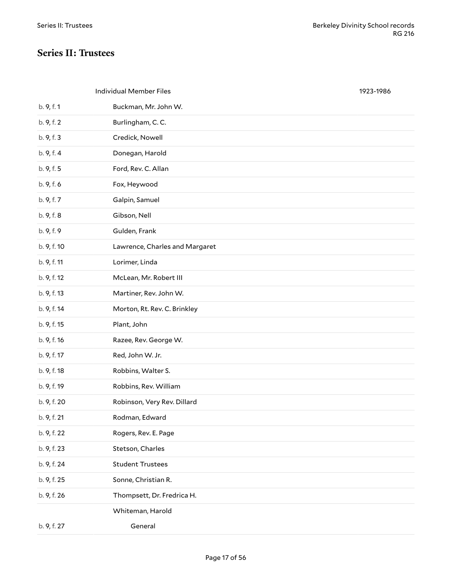### <span id="page-16-0"></span>**Series II: Trustees**

<span id="page-16-1"></span>

|             | <b>Individual Member Files</b> | 1923-1986 |
|-------------|--------------------------------|-----------|
| b. 9, f. 1  | Buckman, Mr. John W.           |           |
| b. 9, f. 2  | Burlingham, C.C.               |           |
| b. 9, f. 3  | Credick, Nowell                |           |
| b. 9, f. 4  | Donegan, Harold                |           |
| b. 9, f. 5  | Ford, Rev. C. Allan            |           |
| b. 9, f. 6  | Fox, Heywood                   |           |
| b. 9, f. 7  | Galpin, Samuel                 |           |
| b. 9, f. 8  | Gibson, Nell                   |           |
| b. 9, f. 9  | Gulden, Frank                  |           |
| b. 9, f. 10 | Lawrence, Charles and Margaret |           |
| b. 9, f. 11 | Lorimer, Linda                 |           |
| b. 9, f. 12 | McLean, Mr. Robert III         |           |
| b. 9, f. 13 | Martiner, Rev. John W.         |           |
| b. 9, f. 14 | Morton, Rt. Rev. C. Brinkley   |           |
| b. 9, f. 15 | Plant, John                    |           |
| b. 9, f. 16 | Razee, Rev. George W.          |           |
| b. 9, f. 17 | Red, John W. Jr.               |           |
| b. 9, f. 18 | Robbins, Walter S.             |           |
| b. 9, f. 19 | Robbins, Rev. William          |           |
| b. 9, f. 20 | Robinson, Very Rev. Dillard    |           |
| b. 9, f. 21 | Rodman, Edward                 |           |
| b. 9, f. 22 | Rogers, Rev. E. Page           |           |
| b. 9, f. 23 | Stetson, Charles               |           |
| b. 9, f. 24 | <b>Student Trustees</b>        |           |
| b. 9, f. 25 | Sonne, Christian R.            |           |
| b. 9, f. 26 | Thompsett, Dr. Fredrica H.     |           |
|             | Whiteman, Harold               |           |
| b. 9, f. 27 | General                        |           |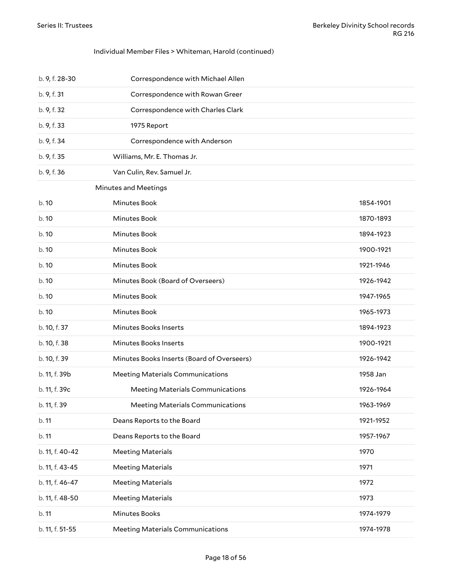#### Individual Member Files > Whiteman, Harold (continued)

<span id="page-17-0"></span>

| b. 9, f. 28-30  | Correspondence with Michael Allen          |           |
|-----------------|--------------------------------------------|-----------|
| b. 9, f. 31     | Correspondence with Rowan Greer            |           |
| b. 9, f. 32     | Correspondence with Charles Clark          |           |
| b. 9, f. 33     | 1975 Report                                |           |
| b. 9, f. 34     | Correspondence with Anderson               |           |
| b. 9, f. 35     | Williams, Mr. E. Thomas Jr.                |           |
| b. 9, f. 36     | Van Culin, Rev. Samuel Jr.                 |           |
|                 | <b>Minutes and Meetings</b>                |           |
| b.10            | Minutes Book                               | 1854-1901 |
| b.10            | Minutes Book                               | 1870-1893 |
| b. 10           | Minutes Book                               | 1894-1923 |
| b. 10           | Minutes Book                               | 1900-1921 |
| b. 10           | Minutes Book                               | 1921-1946 |
| b.10            | Minutes Book (Board of Overseers)          | 1926-1942 |
| b.10            | Minutes Book                               | 1947-1965 |
| b. 10           | Minutes Book                               | 1965-1973 |
| b. 10, f. 37    | Minutes Books Inserts                      | 1894-1923 |
| b. 10, f. 38    | Minutes Books Inserts                      | 1900-1921 |
| b. 10, f. 39    | Minutes Books Inserts (Board of Overseers) | 1926-1942 |
| b. 11, f. 39b   | <b>Meeting Materials Communications</b>    | 1958 Jan  |
| b. 11, f. 39c   | <b>Meeting Materials Communications</b>    | 1926-1964 |
| b. 11, f. 39    | <b>Meeting Materials Communications</b>    | 1963-1969 |
| b. 11           | Deans Reports to the Board                 | 1921-1952 |
| b. 11           | Deans Reports to the Board                 | 1957-1967 |
| b. 11, f. 40-42 | <b>Meeting Materials</b>                   | 1970      |
| b. 11, f. 43-45 | <b>Meeting Materials</b>                   | 1971      |
| b. 11, f. 46-47 | <b>Meeting Materials</b>                   | 1972      |
| b. 11, f. 48-50 | <b>Meeting Materials</b>                   | 1973      |
| b. 11           | Minutes Books                              | 1974-1979 |
| b. 11, f. 51-55 | <b>Meeting Materials Communications</b>    | 1974-1978 |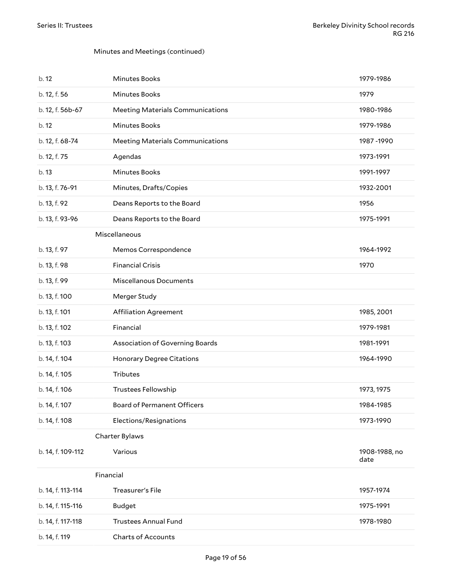#### Minutes and Meetings (continued)

<span id="page-18-2"></span><span id="page-18-1"></span><span id="page-18-0"></span>

| b.12              | <b>Minutes Books</b>                    | 1979-1986             |
|-------------------|-----------------------------------------|-----------------------|
| b. 12, f. 56      | <b>Minutes Books</b>                    | 1979                  |
| b. 12, f. 56b-67  | <b>Meeting Materials Communications</b> | 1980-1986             |
| b.12              | <b>Minutes Books</b>                    | 1979-1986             |
| b. 12, f. 68-74   | <b>Meeting Materials Communications</b> | 1987-1990             |
| b. 12, f. 75      | Agendas                                 | 1973-1991             |
| b.13              | <b>Minutes Books</b>                    | 1991-1997             |
| b. 13, f. 76-91   | Minutes, Drafts/Copies                  | 1932-2001             |
| b. 13, f. 92      | Deans Reports to the Board              | 1956                  |
| b. 13, f. 93-96   | Deans Reports to the Board              | 1975-1991             |
|                   | Miscellaneous                           |                       |
| b. 13, f. 97      | Memos Correspondence                    | 1964-1992             |
| b. 13, f. 98      | <b>Financial Crisis</b>                 | 1970                  |
| b. 13, f. 99      | <b>Miscellanous Documents</b>           |                       |
| b. 13, f. 100     | Merger Study                            |                       |
| b. 13, f. 101     | <b>Affiliation Agreement</b>            | 1985, 2001            |
| b. 13, f. 102     | Financial                               | 1979-1981             |
| b. 13, f. 103     | Association of Governing Boards         | 1981-1991             |
| b. 14, f. 104     | <b>Honorary Degree Citations</b>        | 1964-1990             |
| b. 14, f. 105     | Tributes                                |                       |
| b. 14, f. 106     | <b>Trustees Fellowship</b>              | 1973, 1975            |
| b. 14, f. 107     | Board of Permanent Officers             | 1984-1985             |
| b. 14, f. 108     | Elections/Resignations                  | 1973-1990             |
|                   | Charter Bylaws                          |                       |
| b. 14, f. 109-112 | Various                                 | 1908-1988, no<br>date |
|                   | Financial                               |                       |
| b. 14, f. 113-114 | Treasurer's File                        | 1957-1974             |
| b. 14, f. 115-116 | <b>Budget</b>                           | 1975-1991             |
| b. 14, f. 117-118 | <b>Trustees Annual Fund</b>             | 1978-1980             |
| b. 14, f. 119     | Charts of Accounts                      |                       |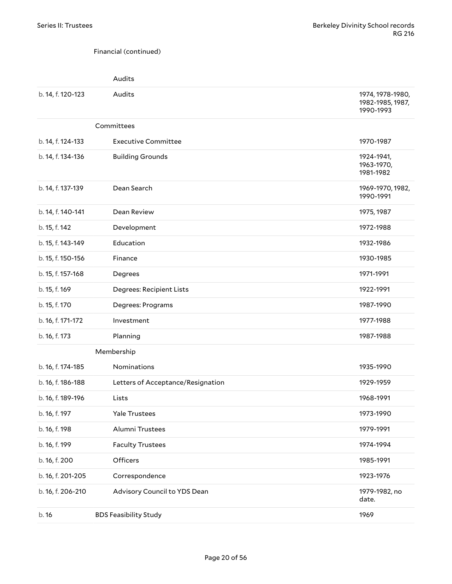#### <span id="page-19-0"></span>Financial (continued)

<span id="page-19-1"></span>

|                   | Audits                            |                                                   |
|-------------------|-----------------------------------|---------------------------------------------------|
| b. 14, f. 120-123 | Audits                            | 1974, 1978-1980,<br>1982-1985, 1987,<br>1990-1993 |
|                   | Committees                        |                                                   |
| b. 14, f. 124-133 | <b>Executive Committee</b>        | 1970-1987                                         |
| b. 14, f. 134-136 | <b>Building Grounds</b>           | 1924-1941,<br>1963-1970,<br>1981-1982             |
| b. 14, f. 137-139 | Dean Search                       | 1969-1970, 1982,<br>1990-1991                     |
| b. 14, f. 140-141 | Dean Review                       | 1975, 1987                                        |
| b. 15, f. 142     | Development                       | 1972-1988                                         |
| b. 15, f. 143-149 | Education                         | 1932-1986                                         |
| b. 15, f. 150-156 | Finance                           | 1930-1985                                         |
| b. 15, f. 157-168 | Degrees                           | 1971-1991                                         |
| b. 15, f. 169     | <b>Degrees: Recipient Lists</b>   | 1922-1991                                         |
| b. 15, f. 170     | Degrees: Programs                 | 1987-1990                                         |
| b. 16, f. 171-172 | Investment                        | 1977-1988                                         |
| b. 16, f. 173     | Planning                          | 1987-1988                                         |
|                   | Membership                        |                                                   |
| b. 16, f. 174-185 | Nominations                       | 1935-1990                                         |
| b. 16, f. 186-188 | Letters of Acceptance/Resignation | 1929-1959                                         |
| b. 16, f. 189-196 | Lists                             | 1968-1991                                         |
| b. 16, f. 197     | Yale Trustees                     | 1973-1990                                         |
| b. 16, f. 198     | Alumni Trustees                   | 1979-1991                                         |
| b. 16, f. 199     | <b>Faculty Trustees</b>           | 1974-1994                                         |
| b. 16, f. 200     | Officers                          | 1985-1991                                         |
| b. 16, f. 201-205 | Correspondence                    | 1923-1976                                         |
| b. 16, f. 206-210 | Advisory Council to YDS Dean      | 1979-1982, no<br>date.                            |
| b. 16             | <b>BDS Feasibility Study</b>      | 1969                                              |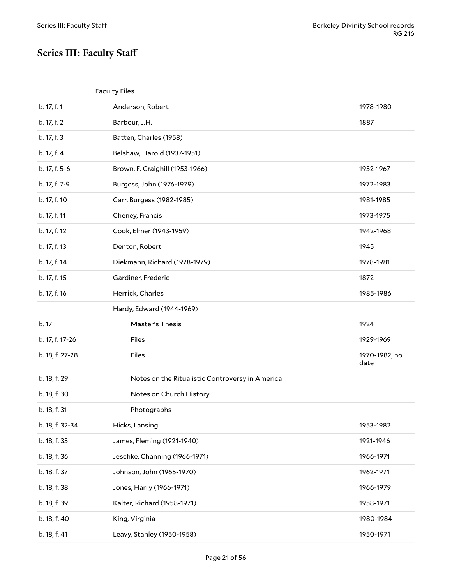# <span id="page-20-0"></span>**Series III: Faculty Staff**

<span id="page-20-1"></span>

|                 | <b>Faculty Files</b>                            |                       |
|-----------------|-------------------------------------------------|-----------------------|
| b. 17, f. 1     | Anderson, Robert                                | 1978-1980             |
| b. 17, f. 2     | Barbour, J.H.                                   | 1887                  |
| b. 17, f. 3     | Batten, Charles (1958)                          |                       |
| b. 17, f. 4     | Belshaw, Harold (1937-1951)                     |                       |
| b. 17, f. 5-6   | Brown, F. Craighill (1953-1966)                 | 1952-1967             |
| b. 17, f. 7-9   | Burgess, John (1976-1979)                       | 1972-1983             |
| b. 17, f. 10    | Carr, Burgess (1982-1985)                       | 1981-1985             |
| b. 17, f. 11    | Cheney, Francis                                 | 1973-1975             |
| b. 17, f. 12    | Cook, Elmer (1943-1959)                         | 1942-1968             |
| b. 17, f. 13    | Denton, Robert                                  | 1945                  |
| b. 17, f. 14    | Diekmann, Richard (1978-1979)                   | 1978-1981             |
| b. 17, f. 15    | Gardiner, Frederic                              | 1872                  |
| b. 17, f. 16    | Herrick, Charles                                | 1985-1986             |
|                 | Hardy, Edward (1944-1969)                       |                       |
|                 |                                                 |                       |
| b. 17           | Master's Thesis                                 | 1924                  |
| b. 17, f. 17-26 | Files                                           | 1929-1969             |
| b. 18, f. 27-28 | Files                                           | 1970-1982, no<br>date |
| b. 18, f. 29    | Notes on the Ritualistic Controversy in America |                       |
| b. 18, f. 30    | Notes on Church History                         |                       |
| b. 18, f. 31    | Photographs                                     |                       |
| b. 18, f. 32-34 | Hicks, Lansing                                  | 1953-1982             |
| b. 18, f. 35    | James, Fleming (1921-1940)                      | 1921-1946             |
| b. 18, f. 36    | Jeschke, Channing (1966-1971)                   | 1966-1971             |
| b. 18, f. 37    | Johnson, John (1965-1970)                       | 1962-1971             |
| b. 18, f. 38    | Jones, Harry (1966-1971)                        | 1966-1979             |
| b. 18, f. 39    | Kalter, Richard (1958-1971)                     | 1958-1971             |
| b. 18, f. 40    | King, Virginia                                  | 1980-1984             |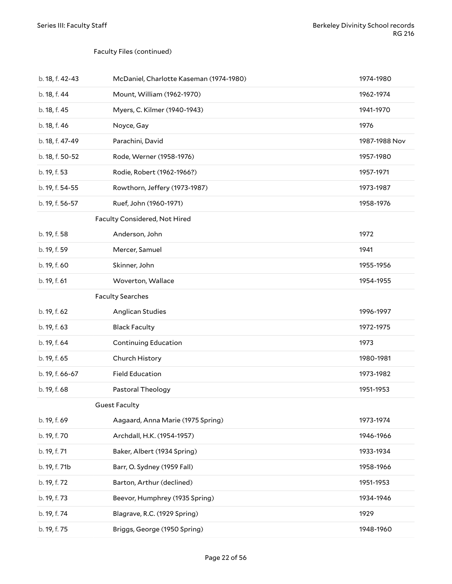#### Faculty Files (continued)

<span id="page-21-2"></span><span id="page-21-1"></span><span id="page-21-0"></span>

| b. 18, f. 42-43 | McDaniel, Charlotte Kaseman (1974-1980) | 1974-1980     |
|-----------------|-----------------------------------------|---------------|
| b. 18, f. 44    | Mount, William (1962-1970)              | 1962-1974     |
| b. 18, f. 45    | Myers, C. Kilmer (1940-1943)            | 1941-1970     |
| b. 18, f. 46    | Noyce, Gay                              | 1976          |
| b. 18, f. 47-49 | Parachini, David                        | 1987-1988 Nov |
| b. 18, f. 50-52 | Rode, Werner (1958-1976)                | 1957-1980     |
| b. 19, f. 53    | Rodie, Robert (1962-1966?)              | 1957-1971     |
| b. 19, f. 54-55 | Rowthorn, Jeffery (1973-1987)           | 1973-1987     |
| b. 19, f. 56-57 | Ruef, John (1960-1971)                  | 1958-1976     |
|                 | Faculty Considered, Not Hired           |               |
| b. 19, f. 58    | Anderson, John                          | 1972          |
| b. 19, f. 59    | Mercer, Samuel                          | 1941          |
| b. 19, f. 60    | Skinner, John                           | 1955-1956     |
| b. 19, f. 61    | Woverton, Wallace                       | 1954-1955     |
|                 | <b>Faculty Searches</b>                 |               |
| b. 19, f. 62    | Anglican Studies                        | 1996-1997     |
|                 |                                         |               |
| b. 19, f. 63    | <b>Black Faculty</b>                    | 1972-1975     |
| b. 19, f. 64    | <b>Continuing Education</b>             | 1973          |
| b. 19, f. 65    | Church History                          | 1980-1981     |
| b. 19, f. 66-67 | <b>Field Education</b>                  | 1973-1982     |
| b. 19, f. 68    | Pastoral Theology                       | 1951-1953     |
|                 | <b>Guest Faculty</b>                    |               |
| b. 19, f. 69    | Aagaard, Anna Marie (1975 Spring)       | 1973-1974     |
| b. 19, f. 70    | Archdall, H.K. (1954-1957)              | 1946-1966     |
| b. 19, f. 71    | Baker, Albert (1934 Spring)             | 1933-1934     |
| b. 19, f. 71b   | Barr, O. Sydney (1959 Fall)             | 1958-1966     |
| b. 19, f. 72    | Barton, Arthur (declined)               | 1951-1953     |
| b. 19, f. 73    | Beevor, Humphrey (1935 Spring)          | 1934-1946     |
| b. 19, f. 74    | Blagrave, R.C. (1929 Spring)            | 1929          |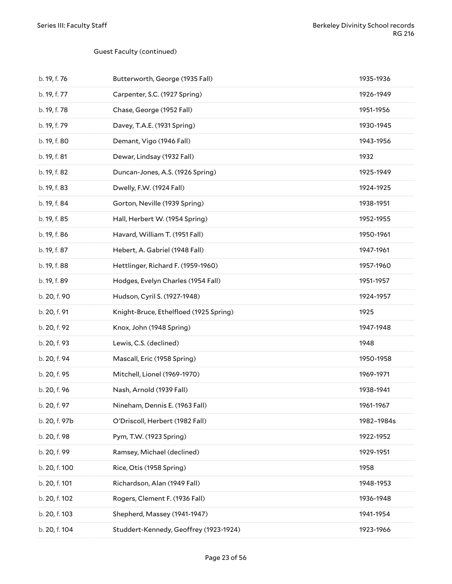#### Guest Faculty (continued)

| b. 19, f. 76  | Butterworth, George (1935 Fall)        | 1935-1936  |
|---------------|----------------------------------------|------------|
| b. 19, f. 77  | Carpenter, S.C. (1927 Spring)          | 1926-1949  |
| b. 19, f. 78  | Chase, George (1952 Fall)              | 1951-1956  |
| b. 19, f. 79  | Davey, T.A.E. (1931 Spring)            | 1930-1945  |
| b. 19, f. 80  | Demant, Vigo (1946 Fall)               | 1943-1956  |
| b. 19, f. 81  | Dewar, Lindsay (1932 Fall)             | 1932       |
| b. 19, f. 82  | Duncan-Jones, A.S. (1926 Spring)       | 1925-1949  |
| b. 19, f. 83  | Dwelly, F.W. (1924 Fall)               | 1924-1925  |
| b. 19, f. 84  | Gorton, Neville (1939 Spring)          | 1938-1951  |
| b. 19, f. 85  | Hall, Herbert W. (1954 Spring)         | 1952-1955  |
| b. 19, f. 86  | Havard, William T. (1951 Fall)         | 1950-1961  |
| b. 19, f. 87  | Hebert, A. Gabriel (1948 Fall)         | 1947-1961  |
| b. 19, f. 88  | Hettlinger, Richard F. (1959-1960)     | 1957-1960  |
| b. 19, f. 89  | Hodges, Evelyn Charles (1954 Fall)     | 1951-1957  |
| b. 20, f. 90  | Hudson, Cyril S. (1927-1948)           | 1924-1957  |
| b. 20, f. 91  | Knight-Bruce, Ethelfloed (1925 Spring) | 1925       |
| b. 20, f. 92  | Knox, John (1948 Spring)               | 1947-1948  |
| b. 20, f. 93  | Lewis, C.S. (declined)                 | 1948       |
| b. 20, f. 94  | Mascall, Eric (1958 Spring)            | 1950-1958  |
| b. 20, f. 95  | Mitchell, Lionel (1969-1970)           | 1969-1971  |
| b. 20, f. 96  | Nash, Arnold (1939 Fall)               | 1938-1941  |
| b. 20, f. 97  | Nineham, Dennis E. (1963 Fall)         | 1961-1967  |
| b. 20, f. 97b | O'Driscoll, Herbert (1982 Fall)        | 1982-1984s |
| b. 20, f. 98  | Pym, T.W. (1923 Spring)                | 1922-1952  |
| b. 20, f. 99  | Ramsey, Michael (declined)             | 1929-1951  |
| b. 20, f. 100 | Rice, Otis (1958 Spring)               | 1958       |
| b. 20, f. 101 | Richardson, Alan (1949 Fall)           | 1948-1953  |
| b. 20, f. 102 | Rogers, Clement F. (1936 Fall)         | 1936-1948  |
| b. 20, f. 103 | Shepherd, Massey (1941-1947)           | 1941-1954  |
| b. 20, f. 104 | Studdert-Kennedy, Geoffrey (1923-1924) | 1923-1966  |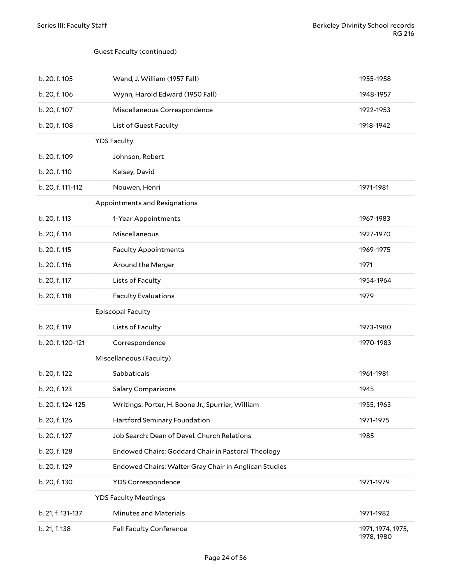#### Guest Faculty (continued)

<span id="page-23-4"></span><span id="page-23-3"></span><span id="page-23-2"></span><span id="page-23-1"></span><span id="page-23-0"></span>

| b. 20, f. 105     | Wand, J. William (1957 Fall)                          | 1955-1958                       |
|-------------------|-------------------------------------------------------|---------------------------------|
| b. 20, f. 106     | Wynn, Harold Edward (1950 Fall)                       | 1948-1957                       |
| b. 20, f. 107     | Miscellaneous Correspondence                          | 1922-1953                       |
| b. 20, f. 108     | List of Guest Faculty                                 | 1918-1942                       |
|                   | <b>YDS Faculty</b>                                    |                                 |
| b. 20, f. 109     | Johnson, Robert                                       |                                 |
| b. 20, f. 110     | Kelsey, David                                         |                                 |
| b. 20, f. 111-112 | Nouwen, Henri                                         | 1971-1981                       |
|                   | Appointments and Resignations                         |                                 |
| b. 20, f. 113     | 1-Year Appointments                                   | 1967-1983                       |
| b. 20, f. 114     | Miscellaneous                                         | 1927-1970                       |
| b. 20, f. 115     | <b>Faculty Appointments</b>                           | 1969-1975                       |
| b. 20, f. 116     | Around the Merger                                     | 1971                            |
| b. 20, f. 117     | Lists of Faculty                                      | 1954-1964                       |
| b. 20, f. 118     | <b>Faculty Evaluations</b>                            | 1979                            |
|                   | <b>Episcopal Faculty</b>                              |                                 |
| b. 20, f. 119     | Lists of Faculty                                      | 1973-1980                       |
| b. 20, f. 120-121 | Correspondence                                        | 1970-1983                       |
|                   | Miscellaneous (Faculty)                               |                                 |
| b. 20, f. 122     | Sabbaticals                                           | 1961-1981                       |
| b. 20, f. 123     | <b>Salary Comparisons</b>                             | 1945                            |
| b. 20, f. 124-125 | Writings: Porter, H. Boone Jr., Spurrier, William     | 1955, 1963                      |
| b. 20, f. 126     | Hartford Seminary Foundation                          | 1971-1975                       |
| b. 20, f. 127     | Job Search: Dean of Devel. Church Relations           | 1985                            |
| b. 20, f. 128     | Endowed Chairs: Goddard Chair in Pastoral Theology    |                                 |
| b. 20, f. 129     | Endowed Chairs: Walter Gray Chair in Anglican Studies |                                 |
| b. 20, f. 130     | YDS Correspondence                                    | 1971-1979                       |
|                   | <b>YDS Faculty Meetings</b>                           |                                 |
| b. 21, f. 131-137 | <b>Minutes and Materials</b>                          | 1971-1982                       |
| b. 21, f. 138     | Fall Faculty Conference                               | 1971, 1974, 1975,<br>1978, 1980 |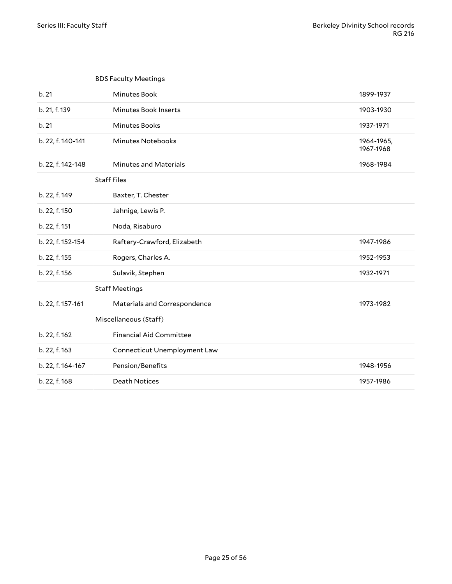<span id="page-24-3"></span><span id="page-24-2"></span><span id="page-24-1"></span><span id="page-24-0"></span>

|                   | <b>BDS Faculty Meetings</b>    |                         |
|-------------------|--------------------------------|-------------------------|
| b.21              | <b>Minutes Book</b>            | 1899-1937               |
| b. 21, f. 139     | Minutes Book Inserts           | 1903-1930               |
| b. 21             | Minutes Books                  | 1937-1971               |
| b. 22, f. 140-141 | <b>Minutes Notebooks</b>       | 1964-1965,<br>1967-1968 |
| b. 22, f. 142-148 | <b>Minutes and Materials</b>   | 1968-1984               |
|                   | <b>Staff Files</b>             |                         |
| b. 22, f. 149     | Baxter, T. Chester             |                         |
| b. 22, f. 150     | Jahnige, Lewis P.              |                         |
| b. 22, f. 151     | Noda, Risaburo                 |                         |
| b. 22, f. 152-154 | Raftery-Crawford, Elizabeth    | 1947-1986               |
| b. 22, f. 155     | Rogers, Charles A.             | 1952-1953               |
| b. 22, f. 156     | Sulavik, Stephen               | 1932-1971               |
|                   | <b>Staff Meetings</b>          |                         |
| b. 22, f. 157-161 | Materials and Correspondence   | 1973-1982               |
|                   | Miscellaneous (Staff)          |                         |
| b. 22, f. 162     | <b>Financial Aid Committee</b> |                         |
| b. 22, f. 163     | Connecticut Unemployment Law   |                         |
| b. 22, f. 164-167 | Pension/Benefits               | 1948-1956               |
| b. 22, f. 168     | <b>Death Notices</b>           | 1957-1986               |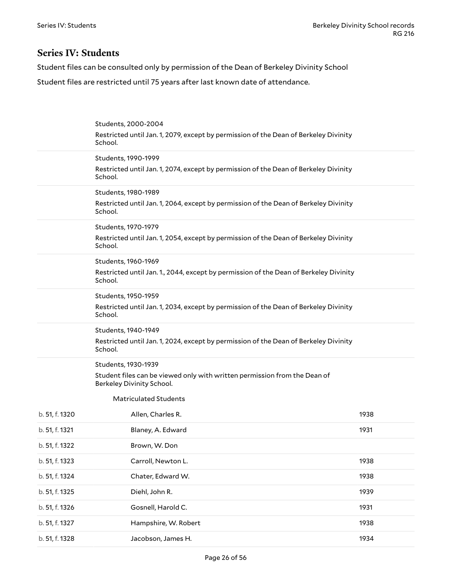### <span id="page-25-0"></span>**Series IV: Students**

Student files can be consulted only by permission of the Dean of Berkeley Divinity School

Student files are restricted until 75 years after last known date of attendance.

<span id="page-25-9"></span><span id="page-25-8"></span><span id="page-25-7"></span><span id="page-25-6"></span><span id="page-25-5"></span><span id="page-25-4"></span><span id="page-25-3"></span><span id="page-25-2"></span><span id="page-25-1"></span>

|                | Students, 2000-2004                                                                                    |      |
|----------------|--------------------------------------------------------------------------------------------------------|------|
|                | Restricted until Jan. 1, 2079, except by permission of the Dean of Berkeley Divinity<br>School.        |      |
|                | Students, 1990-1999                                                                                    |      |
|                | Restricted until Jan. 1, 2074, except by permission of the Dean of Berkeley Divinity<br>School.        |      |
|                | Students, 1980-1989                                                                                    |      |
|                | Restricted until Jan. 1, 2064, except by permission of the Dean of Berkeley Divinity<br>School.        |      |
|                | Students, 1970-1979                                                                                    |      |
|                | Restricted until Jan. 1, 2054, except by permission of the Dean of Berkeley Divinity<br>School.        |      |
|                | Students, 1960-1969                                                                                    |      |
|                | Restricted until Jan. 1., 2044, except by permission of the Dean of Berkeley Divinity<br>School.       |      |
|                | Students, 1950-1959                                                                                    |      |
|                | Restricted until Jan. 1, 2034, except by permission of the Dean of Berkeley Divinity<br>School.        |      |
|                | Students, 1940-1949                                                                                    |      |
|                | Restricted until Jan. 1, 2024, except by permission of the Dean of Berkeley Divinity<br>School.        |      |
|                | Students, 1930-1939                                                                                    |      |
|                | Student files can be viewed only with written permission from the Dean of<br>Berkeley Divinity School. |      |
|                | <b>Matriculated Students</b>                                                                           |      |
| b. 51, f. 1320 | Allen, Charles R.                                                                                      | 1938 |
| b. 51, f. 1321 | Blaney, A. Edward                                                                                      | 1931 |
| b. 51, f. 1322 | Brown, W. Don                                                                                          |      |
| b. 51, f. 1323 | Carroll, Newton L.                                                                                     | 1938 |
| b. 51, f. 1324 | Chater, Edward W.                                                                                      | 1938 |
| b. 51, f. 1325 | Diehl, John R.                                                                                         | 1939 |
| b. 51, f. 1326 | Gosnell, Harold C.                                                                                     | 1931 |
| b. 51, f. 1327 | Hampshire, W. Robert                                                                                   | 1938 |
| b. 51, f. 1328 | Jacobson, James H.                                                                                     | 1934 |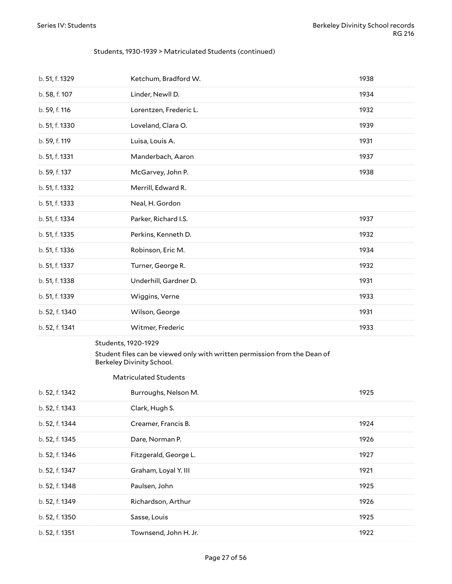#### Students, 1930-1939 > Matriculated Students (continued)

| b. 51, f. 1329 | Ketchum, Bradford W.   | 1938 |
|----------------|------------------------|------|
| b. 58, f. 107  | Linder, Newll D.       | 1934 |
| b. 59, f. 116  | Lorentzen, Frederic L. | 1932 |
| b. 51, f. 1330 | Loveland, Clara O.     | 1939 |
| b. 59, f. 119  | Luisa, Louis A.        | 1931 |
| b. 51, f. 1331 | Manderbach, Aaron      | 1937 |
| b. 59, f. 137  | McGarvey, John P.      | 1938 |
| b. 51, f. 1332 | Merrill, Edward R.     |      |
| b. 51, f. 1333 | Neal, H. Gordon        |      |
| b. 51, f. 1334 | Parker, Richard I.S.   | 1937 |
| b. 51, f. 1335 | Perkins, Kenneth D.    | 1932 |
| b. 51, f. 1336 | Robinson, Eric M.      | 1934 |
| b. 51, f. 1337 | Turner, George R.      | 1932 |
| b. 51, f. 1338 | Underhill, Gardner D.  | 1931 |
| b. 51, f. 1339 | Wiggins, Verne         | 1933 |
| b. 52, f. 1340 | Wilson, George         | 1931 |
| b. 52, f. 1341 | Witmer, Frederic       | 1933 |
|                |                        |      |

#### <span id="page-26-0"></span>Students, 1920-1929

#### Student files can be viewed only with written permission from the Dean of Berkeley Divinity School.

#### <span id="page-26-1"></span>Matriculated Students

| b. 52, f. 1342 | Burroughs, Nelson M.  | 1925 |
|----------------|-----------------------|------|
| b. 52, f. 1343 | Clark, Hugh S.        |      |
| b. 52, f. 1344 | Creamer, Francis B.   | 1924 |
| b. 52, f. 1345 | Dare, Norman P.       | 1926 |
| b. 52, f. 1346 | Fitzgerald, George L. | 1927 |
| b. 52, f. 1347 | Graham, Loyal Y. III  | 1921 |
| b. 52, f. 1348 | Paulsen, John         | 1925 |
| b. 52, f. 1349 | Richardson, Arthur    | 1926 |
| b. 52, f. 1350 | Sasse, Louis          | 1925 |
| b. 52, f. 1351 | Townsend, John H. Jr. | 1922 |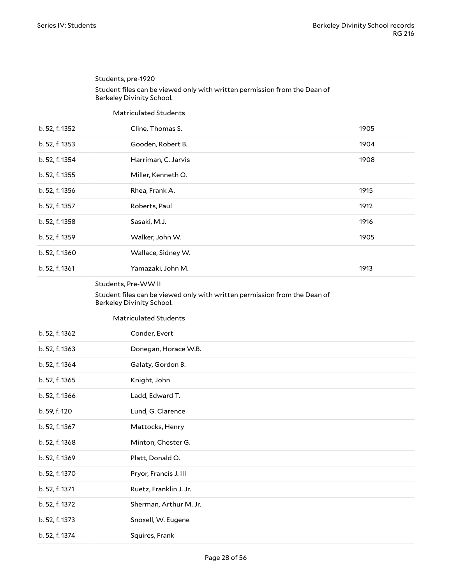<span id="page-27-1"></span><span id="page-27-0"></span>

|                | Students, pre-1920                                                                                     |      |
|----------------|--------------------------------------------------------------------------------------------------------|------|
|                | Student files can be viewed only with written permission from the Dean of<br>Berkeley Divinity School. |      |
|                | <b>Matriculated Students</b>                                                                           |      |
| b. 52, f. 1352 | Cline, Thomas S.                                                                                       | 1905 |
| b. 52, f. 1353 | Gooden, Robert B.                                                                                      | 1904 |
| b. 52, f. 1354 | Harriman, C. Jarvis                                                                                    | 1908 |
| b. 52, f. 1355 | Miller, Kenneth O.                                                                                     |      |
| b. 52, f. 1356 | Rhea, Frank A.                                                                                         | 1915 |
| b. 52, f. 1357 | Roberts, Paul                                                                                          | 1912 |
| b. 52, f. 1358 | Sasaki, M.J.                                                                                           | 1916 |
| b. 52, f. 1359 | Walker, John W.                                                                                        | 1905 |
| b. 52, f. 1360 | Wallace, Sidney W.                                                                                     |      |
| b. 52, f. 1361 | Yamazaki, John M.                                                                                      | 1913 |
|                | Students, Pre-WW II                                                                                    |      |

#### <span id="page-27-2"></span>Student files can be viewed only with written permission from the Dean of Berkeley Divinity School.

<span id="page-27-3"></span>Matriculated Students

| b. 52, f. 1362 | Conder, Evert          |
|----------------|------------------------|
| b. 52, f. 1363 | Donegan, Horace W.B.   |
| b. 52, f. 1364 | Galaty, Gordon B.      |
| b. 52, f. 1365 | Knight, John           |
| b. 52, f. 1366 | Ladd, Edward T.        |
| b. 59, f. 120  | Lund, G. Clarence      |
| b. 52, f. 1367 | Mattocks, Henry        |
| b. 52, f. 1368 | Minton, Chester G.     |
| b. 52, f. 1369 | Platt, Donald O.       |
| b. 52, f. 1370 | Pryor, Francis J. III  |
| b. 52, f. 1371 | Ruetz, Franklin J. Jr. |
| b. 52, f. 1372 | Sherman, Arthur M. Jr. |
| b. 52, f. 1373 | Snoxell, W. Eugene     |
| b. 52, f. 1374 | Squires, Frank         |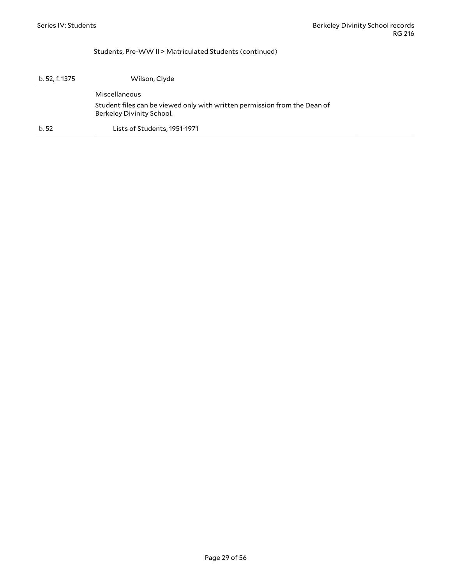#### <span id="page-28-0"></span>Students, Pre-WW II > Matriculated Students (continued)

| b. 52, f. 1375 | Wilson, Clyde                                                                                          |
|----------------|--------------------------------------------------------------------------------------------------------|
|                | Miscellaneous                                                                                          |
|                | Student files can be viewed only with written permission from the Dean of<br>Berkeley Divinity School. |
| b.52           | Lists of Students, 1951-1971                                                                           |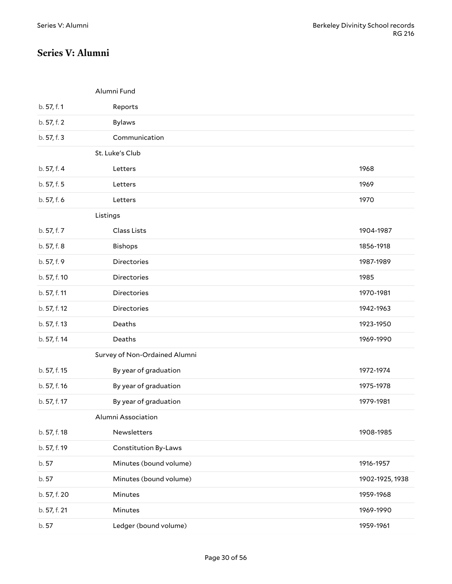### <span id="page-29-0"></span>**Series V: Alumni**

<span id="page-29-3"></span><span id="page-29-2"></span><span id="page-29-1"></span>Alumni Fund

<span id="page-29-5"></span><span id="page-29-4"></span>

| b. 57, f. 1  | Reports                       |                 |
|--------------|-------------------------------|-----------------|
| b. 57, f. 2  | <b>Bylaws</b>                 |                 |
| b. 57, f. 3  | Communication                 |                 |
|              | St. Luke's Club               |                 |
| b. 57, f. 4  | Letters                       | 1968            |
| b. 57, f. 5  | Letters                       | 1969            |
| b. 57, f. 6  | Letters                       | 1970            |
|              | Listings                      |                 |
| b. 57, f. 7  | Class Lists                   | 1904-1987       |
| b. 57, f. 8  | Bishops                       | 1856-1918       |
| b. 57, f. 9  | <b>Directories</b>            | 1987-1989       |
| b. 57, f. 10 | Directories                   | 1985            |
| b. 57, f. 11 | Directories                   | 1970-1981       |
| b. 57, f. 12 | Directories                   | 1942-1963       |
| b. 57, f. 13 | Deaths                        | 1923-1950       |
| b. 57, f. 14 | Deaths                        | 1969-1990       |
|              | Survey of Non-Ordained Alumni |                 |
| b. 57, f. 15 | By year of graduation         | 1972-1974       |
| b. 57, f. 16 | By year of graduation         | 1975-1978       |
| b. 57, f. 17 | By year of graduation         | 1979-1981       |
|              | Alumni Association            |                 |
| b. 57, f. 18 | Newsletters                   | 1908-1985       |
| b. 57, f. 19 | <b>Constitution By-Laws</b>   |                 |
| b. 57        | Minutes (bound volume)        | 1916-1957       |
| b. 57        | Minutes (bound volume)        | 1902-1925, 1938 |
| b. 57, f. 20 | Minutes                       | 1959-1968       |
| b. 57, f. 21 | Minutes                       | 1969-1990       |
| b. 57        | Ledger (bound volume)         | 1959-1961       |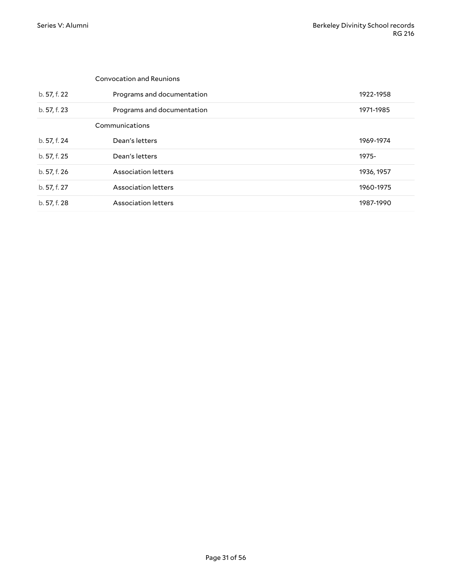<span id="page-30-1"></span><span id="page-30-0"></span>

|              | <b>Convocation and Reunions</b> |            |
|--------------|---------------------------------|------------|
| b. 57, f. 22 | Programs and documentation      | 1922-1958  |
| b. 57, f. 23 | Programs and documentation      | 1971-1985  |
|              | Communications                  |            |
| b. 57, f. 24 | Dean's letters                  | 1969-1974  |
| b. 57, f. 25 | Dean's letters                  | 1975-      |
| b. 57, f. 26 | Association letters             | 1936, 1957 |
| b. 57, f. 27 | Association letters             | 1960-1975  |
| b. 57, f. 28 | Association letters             | 1987-1990  |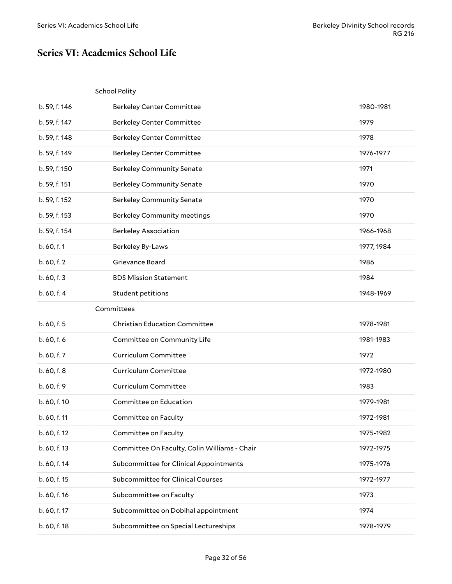### <span id="page-31-0"></span>**Series VI: Academics School Life**

#### <span id="page-31-1"></span>School Polity

<span id="page-31-2"></span>

| b. 59, f. 146 | <b>Berkeley Center Committee</b>             | 1980-1981  |
|---------------|----------------------------------------------|------------|
| b. 59, f. 147 | <b>Berkeley Center Committee</b>             | 1979       |
| b. 59, f. 148 | <b>Berkeley Center Committee</b>             | 1978       |
| b. 59, f. 149 | <b>Berkeley Center Committee</b>             | 1976-1977  |
| b. 59, f. 150 | <b>Berkeley Community Senate</b>             | 1971       |
| b. 59, f. 151 | <b>Berkeley Community Senate</b>             | 1970       |
| b. 59, f. 152 | <b>Berkeley Community Senate</b>             | 1970       |
| b. 59, f. 153 | <b>Berkeley Community meetings</b>           | 1970       |
| b. 59, f. 154 | <b>Berkeley Association</b>                  | 1966-1968  |
| b. 60, f. 1   | Berkeley By-Laws                             | 1977, 1984 |
| b. 60, f. 2   | Grievance Board                              | 1986       |
| b. 60, f. 3   | <b>BDS Mission Statement</b>                 | 1984       |
| b. 60, f. 4   | Student petitions                            | 1948-1969  |
|               | Committees                                   |            |
| b. 60, f. 5   | <b>Christian Education Committee</b>         | 1978-1981  |
| b. 60, f. 6   | Committee on Community Life                  | 1981-1983  |
| b. 60, f. 7   | <b>Curriculum Committee</b>                  | 1972       |
| b. 60, f. 8   | Curriculum Committee                         | 1972-1980  |
| b. 60, f. 9   | Curriculum Committee                         | 1983       |
| b. 60, f. 10  | Committee on Education                       | 1979-1981  |
| b. 60, f. 11  | Committee on Faculty                         | 1972-1981  |
| b. 60, f. 12  | Committee on Faculty                         | 1975-1982  |
| b. 60, f. 13  | Committee On Faculty, Colin Williams - Chair | 1972-1975  |
| b. 60, f. 14  | Subcommittee for Clinical Appointments       | 1975-1976  |
| b. 60, f. 15  | Subcommittee for Clinical Courses            | 1972-1977  |
| b. 60, f. 16  | Subcommittee on Faculty                      | 1973       |
| b. 60, f. 17  | Subcommittee on Dobihal appointment          | 1974       |
| b. 60, f. 18  | Subcommittee on Special Lectureships         | 1978-1979  |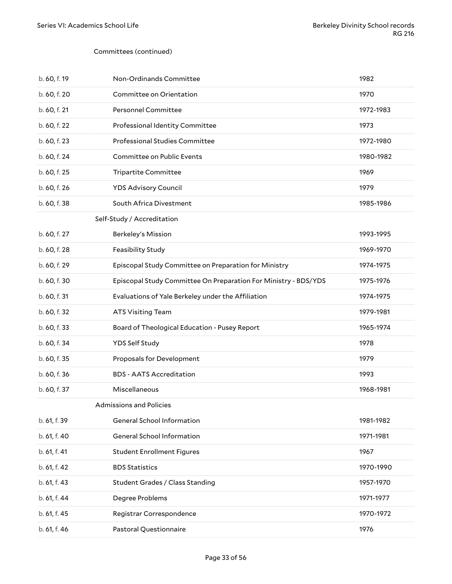#### Committees (continued)

<span id="page-32-1"></span><span id="page-32-0"></span>

| b. 60, f. 19 | Non-Ordinands Committee                                         | 1982      |
|--------------|-----------------------------------------------------------------|-----------|
| b. 60, f. 20 | Committee on Orientation                                        | 1970      |
| b. 60, f. 21 | <b>Personnel Committee</b>                                      | 1972-1983 |
| b. 60, f. 22 | Professional Identity Committee                                 | 1973      |
| b. 60, f. 23 | Professional Studies Committee                                  | 1972-1980 |
| b. 60, f. 24 | Committee on Public Events                                      | 1980-1982 |
| b. 60, f. 25 | <b>Tripartite Committee</b>                                     | 1969      |
| b. 60, f. 26 | <b>YDS Advisory Council</b>                                     | 1979      |
| b. 60, f. 38 | South Africa Divestment                                         | 1985-1986 |
|              | Self-Study / Accreditation                                      |           |
| b. 60, f. 27 | Berkeley's Mission                                              | 1993-1995 |
| b. 60, f. 28 | Feasibility Study                                               | 1969-1970 |
| b. 60, f. 29 | Episcopal Study Committee on Preparation for Ministry           | 1974-1975 |
| b. 60, f. 30 | Episcopal Study Committee On Preparation For Ministry - BDS/YDS | 1975-1976 |
| b. 60, f. 31 | Evaluations of Yale Berkeley under the Affiliation              | 1974-1975 |
| b. 60, f. 32 | <b>ATS Visiting Team</b>                                        | 1979-1981 |
| b. 60, f. 33 | Board of Theological Education - Pusey Report                   | 1965-1974 |
| b. 60, f. 34 | YDS Self Study                                                  | 1978      |
| b. 60, f. 35 | Proposals for Development                                       | 1979      |
| b. 60, f. 36 | <b>BDS - AATS Accreditation</b>                                 | 1993      |
| b. 60, f. 37 | Miscellaneous                                                   | 1968-1981 |
|              | <b>Admissions and Policies</b>                                  |           |
| b. 61, f. 39 | General School Information                                      | 1981-1982 |
| b. 61, f. 40 | General School Information                                      | 1971-1981 |
| b. 61, f. 41 | <b>Student Enrollment Figures</b>                               | 1967      |
| b. 61, f. 42 | <b>BDS Statistics</b>                                           | 1970-1990 |
| b. 61, f. 43 | Student Grades / Class Standing                                 | 1957-1970 |
| b. 61, f. 44 | Degree Problems                                                 | 1971-1977 |
| b. 61, f. 45 | Registrar Correspondence                                        | 1970-1972 |
| b. 61, f. 46 | Pastoral Questionnaire                                          | 1976      |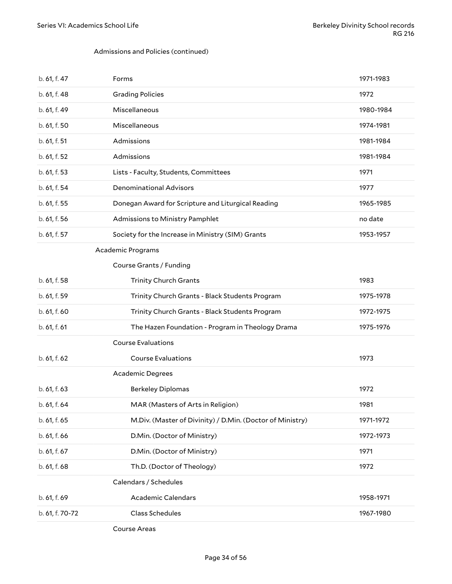#### Admissions and Policies (continued)

<span id="page-33-1"></span><span id="page-33-0"></span>

| b. 61, f. 47    | Forms                                                     | 1971-1983 |
|-----------------|-----------------------------------------------------------|-----------|
| b. 61, f. 48    | <b>Grading Policies</b>                                   | 1972      |
| b. 61, f. 49    | Miscellaneous                                             | 1980-1984 |
| b. 61, f. 50    | Miscellaneous                                             | 1974-1981 |
| b. 61, f. 51    | Admissions                                                | 1981-1984 |
| b. 61, f. 52    | Admissions                                                | 1981-1984 |
| b. 61, f. 53    | Lists - Faculty, Students, Committees                     | 1971      |
| b. 61, f. 54    | <b>Denominational Advisors</b>                            | 1977      |
| b. 61, f. 55    | Donegan Award for Scripture and Liturgical Reading        | 1965-1985 |
| b. 61, f. 56    | Admissions to Ministry Pamphlet                           | no date   |
| b. 61, f. 57    | Society for the Increase in Ministry (SIM) Grants         | 1953-1957 |
|                 | <b>Academic Programs</b>                                  |           |
|                 | Course Grants / Funding                                   |           |
| b. 61, f. 58    | <b>Trinity Church Grants</b>                              | 1983      |
| b. 61, f. 59    | Trinity Church Grants - Black Students Program            | 1975-1978 |
| b. 61, f. 60    | Trinity Church Grants - Black Students Program            | 1972-1975 |
| b. 61, f. 61    | The Hazen Foundation - Program in Theology Drama          | 1975-1976 |
|                 | <b>Course Evaluations</b>                                 |           |
| b. 61, f. 62    | <b>Course Evaluations</b>                                 | 1973      |
|                 | Academic Degrees                                          |           |
| b. 61, f. 63    | <b>Berkeley Diplomas</b>                                  | 1972      |
| b. 61, f. 64    | MAR (Masters of Arts in Religion)                         | 1981      |
| b. 61, f. 65    | M.Div. (Master of Divinity) / D.Min. (Doctor of Ministry) | 1971-1972 |
| b. 61, f. 66    | D.Min. (Doctor of Ministry)                               | 1972-1973 |
| b. 61, f. 67    | D.Min. (Doctor of Ministry)                               | 1971      |
| b. 61, f. 68    | Th.D. (Doctor of Theology)                                | 1972      |
|                 | Calendars / Schedules                                     |           |
| b. 61, f. 69    | <b>Academic Calendars</b>                                 | 1958-1971 |
| b. 61, f. 70-72 | Class Schedules                                           | 1967-1980 |
|                 |                                                           |           |

<span id="page-33-5"></span><span id="page-33-4"></span><span id="page-33-3"></span><span id="page-33-2"></span>Course Areas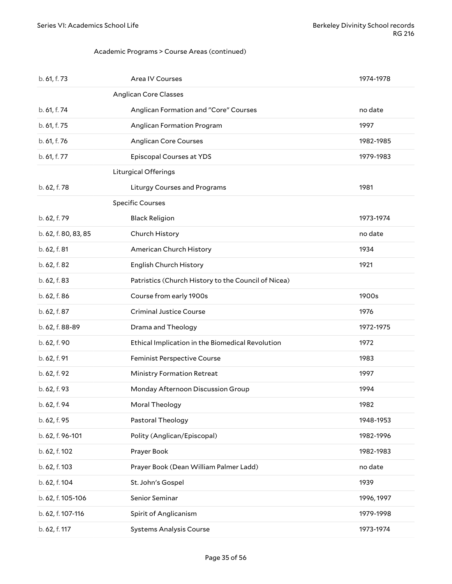#### <span id="page-34-0"></span>Academic Programs > Course Areas (continued)

<span id="page-34-2"></span><span id="page-34-1"></span>

| b. 61, f. 73         | Area IV Courses                                     | 1974-1978  |
|----------------------|-----------------------------------------------------|------------|
|                      | <b>Anglican Core Classes</b>                        |            |
| b. 61, f. 74         | Anglican Formation and "Core" Courses               | no date    |
| b. 61, f. 75         | Anglican Formation Program                          | 1997       |
| b. 61, f. 76         | <b>Anglican Core Courses</b>                        | 1982-1985  |
| b. 61, f. 77         | Episcopal Courses at YDS                            | 1979-1983  |
|                      | <b>Liturgical Offerings</b>                         |            |
| b. 62, f. 78         | <b>Liturgy Courses and Programs</b>                 | 1981       |
|                      | <b>Specific Courses</b>                             |            |
| b. 62, f. 79         | <b>Black Religion</b>                               | 1973-1974  |
| b. 62, f. 80, 83, 85 | Church History                                      | no date    |
| b. 62, f. 81         | American Church History                             | 1934       |
| b. 62, f. 82         | English Church History                              | 1921       |
| b. 62, f. 83         | Patristics (Church History to the Council of Nicea) |            |
| b. 62, f. 86         | Course from early 1900s                             | 1900s      |
| b. 62, f. 87         | <b>Criminal Justice Course</b>                      | 1976       |
| b. 62, f. 88-89      | Drama and Theology                                  | 1972-1975  |
| b. 62, f. 90         | Ethical Implication in the Biomedical Revolution    | 1972       |
| b. 62, f. 91         | Feminist Perspective Course                         | 1983       |
| b. 62, f. 92         | <b>Ministry Formation Retreat</b>                   | 1997       |
| b. 62, f. 93         | Monday Afternoon Discussion Group                   | 1994       |
| b. 62, f. 94         | Moral Theology                                      | 1982       |
| b. 62, f. 95         | Pastoral Theology                                   | 1948-1953  |
| b. 62, f. 96-101     | Polity (Anglican/Episcopal)                         | 1982-1996  |
| b. 62, f. 102        | Prayer Book                                         | 1982-1983  |
| b. 62, f. 103        | Prayer Book (Dean William Palmer Ladd)              | no date    |
| b. 62, f. 104        | St. John's Gospel                                   | 1939       |
| b. 62, f. 105-106    | Senior Seminar                                      | 1996, 1997 |
| b. 62, f. 107-116    | Spirit of Anglicanism                               | 1979-1998  |
| b. 62, f. 117        | <b>Systems Analysis Course</b>                      | 1973-1974  |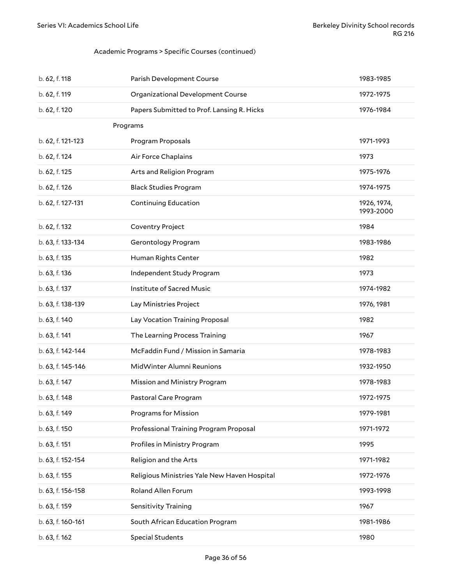#### <span id="page-35-0"></span>Academic Programs > Specific Courses (continued)

| b. 62, f. 118     | Parish Development Course                    | 1983-1985                |
|-------------------|----------------------------------------------|--------------------------|
| b. 62, f. 119     | Organizational Development Course            | 1972-1975                |
| b. 62, f. 120     | Papers Submitted to Prof. Lansing R. Hicks   | 1976-1984                |
|                   | Programs                                     |                          |
| b. 62, f. 121-123 | Program Proposals                            | 1971-1993                |
| b. 62, f. 124     | Air Force Chaplains                          | 1973                     |
| b. 62, f. 125     | Arts and Religion Program                    | 1975-1976                |
| b. 62, f. 126     | <b>Black Studies Program</b>                 | 1974-1975                |
| b. 62, f. 127-131 | <b>Continuing Education</b>                  | 1926, 1974,<br>1993-2000 |
| b. 62, f. 132     | Coventry Project                             | 1984                     |
| b. 63, f. 133-134 | Gerontology Program                          | 1983-1986                |
| b. 63, f. 135     | Human Rights Center                          | 1982                     |
| b. 63, f. 136     | Independent Study Program                    | 1973                     |
| b. 63, f. 137     | Institute of Sacred Music                    | 1974-1982                |
| b. 63, f. 138-139 | Lay Ministries Project                       | 1976, 1981               |
| b. 63, f. 140     | Lay Vocation Training Proposal               | 1982                     |
| b. 63, f. 141     | The Learning Process Training                | 1967                     |
| b. 63, f. 142-144 | McFaddin Fund / Mission in Samaria           | 1978-1983                |
| b. 63, f. 145-146 | MidWinter Alumni Reunions                    | 1932-1950                |
| b. 63, f. 147     | Mission and Ministry Program                 | 1978-1983                |
| b. 63, f. 148     | Pastoral Care Program                        | 1972-1975                |
| b. 63, f. 149     | Programs for Mission                         | 1979-1981                |
| b. 63, f. 150     | Professional Training Program Proposal       | 1971-1972                |
| b. 63, f. 151     | Profiles in Ministry Program                 | 1995                     |
| b. 63, f. 152-154 | Religion and the Arts                        | 1971-1982                |
| b. 63, f. 155     | Religious Ministries Yale New Haven Hospital | 1972-1976                |
| b. 63, f. 156-158 | Roland Allen Forum                           | 1993-1998                |
| b. 63, f. 159     | Sensitivity Training                         | 1967                     |
| b. 63, f. 160-161 | South African Education Program              | 1981-1986                |
| b. 63, f. 162     | <b>Special Students</b>                      | 1980                     |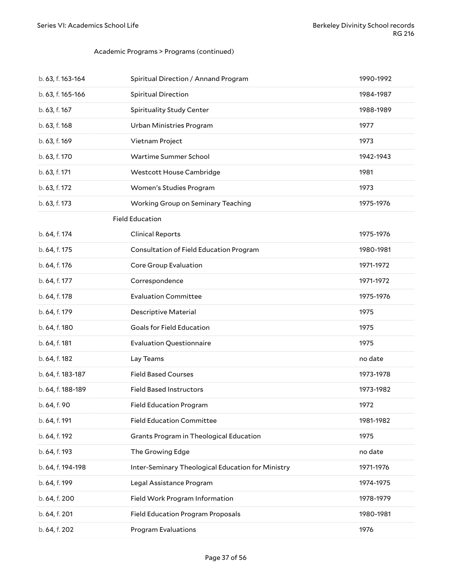#### Academic Programs > Programs (continued)

<span id="page-36-0"></span>

| b. 63, f. 163-164 | Spiritual Direction / Annand Program              | 1990-1992 |
|-------------------|---------------------------------------------------|-----------|
| b. 63, f. 165-166 | Spiritual Direction                               | 1984-1987 |
| b. 63, f. 167     | <b>Spirituality Study Center</b>                  | 1988-1989 |
| b. 63, f. 168     | Urban Ministries Program                          | 1977      |
| b. 63, f. 169     | Vietnam Project                                   | 1973      |
| b. 63, f. 170     | Wartime Summer School                             | 1942-1943 |
| b. 63, f. 171     | Westcott House Cambridge                          | 1981      |
| b. 63, f. 172     | Women's Studies Program                           | 1973      |
| b. 63, f. 173     | Working Group on Seminary Teaching                | 1975-1976 |
|                   | <b>Field Education</b>                            |           |
| b. 64, f. 174     | <b>Clinical Reports</b>                           | 1975-1976 |
| b. 64, f. 175     | Consultation of Field Education Program           | 1980-1981 |
| b. 64, f. 176     | Core Group Evaluation                             | 1971-1972 |
| b. 64, f. 177     | Correspondence                                    | 1971-1972 |
| b. 64, f. 178     | <b>Evaluation Committee</b>                       | 1975-1976 |
| b. 64, f. 179     | <b>Descriptive Material</b>                       | 1975      |
| b. 64, f. 180     | Goals for Field Education                         | 1975      |
| b. 64, f. 181     | <b>Evaluation Questionnaire</b>                   | 1975      |
| b. 64, f. 182     | Lay Teams                                         | no date   |
| b. 64, f. 183-187 | <b>Field Based Courses</b>                        | 1973-1978 |
| b. 64, f. 188-189 | <b>Field Based Instructors</b>                    | 1973-1982 |
| b. 64, f. 90      | <b>Field Education Program</b>                    | 1972      |
| b. 64, f. 191     | <b>Field Education Committee</b>                  | 1981-1982 |
| b. 64, f. 192     | Grants Program in Theological Education           | 1975      |
| b. 64, f. 193     | The Growing Edge                                  | no date   |
| b. 64, f. 194-198 | Inter-Seminary Theological Education for Ministry | 1971-1976 |
| b. 64, f. 199     | Legal Assistance Program                          | 1974-1975 |
| b. 64, f. 200     | Field Work Program Information                    | 1978-1979 |
| b. 64, f. 201     | <b>Field Education Program Proposals</b>          | 1980-1981 |
| b. 64, f. 202     | Program Evaluations                               | 1976      |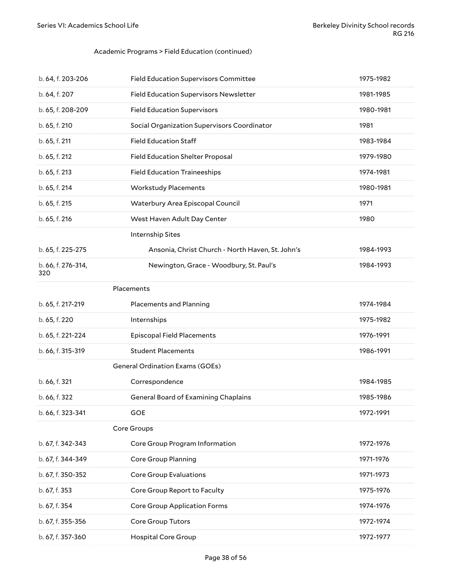#### Academic Programs > Field Education (continued)

<span id="page-37-3"></span><span id="page-37-2"></span><span id="page-37-1"></span><span id="page-37-0"></span>

| b. 64, f. 203-206         | <b>Field Education Supervisors Committee</b>     | 1975-1982 |
|---------------------------|--------------------------------------------------|-----------|
| b. 64, f. 207             | Field Education Supervisors Newsletter           | 1981-1985 |
| b. 65, f. 208-209         | <b>Field Education Supervisors</b>               | 1980-1981 |
| b. 65, f. 210             | Social Organization Supervisors Coordinator      | 1981      |
| b. 65, f. 211             | <b>Field Education Staff</b>                     | 1983-1984 |
| b. 65, f. 212             | Field Education Shelter Proposal                 | 1979-1980 |
| b. 65, f. 213             | <b>Field Education Traineeships</b>              | 1974-1981 |
| b. 65, f. 214             | <b>Workstudy Placements</b>                      | 1980-1981 |
| b. 65, f. 215             | Waterbury Area Episcopal Council                 | 1971      |
| b. 65, f. 216             | West Haven Adult Day Center                      | 1980      |
|                           | Internship Sites                                 |           |
| b. 65, f. 225-275         | Ansonia, Christ Church - North Haven, St. John's | 1984-1993 |
| b. 66, f. 276-314,<br>320 | Newington, Grace - Woodbury, St. Paul's          | 1984-1993 |
|                           | Placements                                       |           |
| b. 65, f. 217-219         | <b>Placements and Planning</b>                   | 1974-1984 |
| b. 65, f. 220             | Internships                                      | 1975-1982 |
| b. 65, f. 221-224         | <b>Episcopal Field Placements</b>                | 1976-1991 |
| b. 66, f. 315-319         | <b>Student Placements</b>                        | 1986-1991 |
|                           | <b>General Ordination Exams (GOEs)</b>           |           |
| b. 66, f. 321             | Correspondence                                   | 1984-1985 |
| b. 66, f. 322             | General Board of Examining Chaplains             | 1985-1986 |
| b. 66, f. 323-341         | <b>GOE</b>                                       | 1972-1991 |
|                           | Core Groups                                      |           |
| b. 67, f. 342-343         | Core Group Program Information                   | 1972-1976 |
| b. 67, f. 344-349         | Core Group Planning                              | 1971-1976 |
| b. 67, f. 350-352         | <b>Core Group Evaluations</b>                    | 1971-1973 |
| b. 67, f. 353             | Core Group Report to Faculty                     | 1975-1976 |
| b. 67, f. 354             | Core Group Application Forms                     | 1974-1976 |
| b. 67, f. 355-356         | Core Group Tutors                                | 1972-1974 |
| b. 67, f. 357-360         | <b>Hospital Core Group</b>                       | 1972-1977 |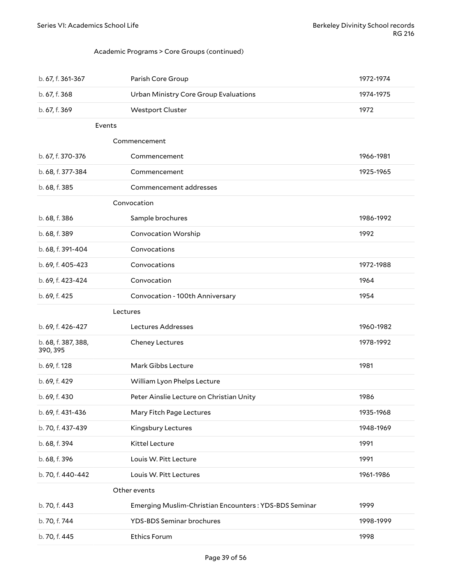#### <span id="page-38-0"></span>Academic Programs > Core Groups (continued)

<span id="page-38-4"></span><span id="page-38-3"></span><span id="page-38-2"></span><span id="page-38-1"></span>

| b. 67, f. 361-367               | Parish Core Group                                     | 1972-1974 |
|---------------------------------|-------------------------------------------------------|-----------|
| b. 67, f. 368                   | Urban Ministry Core Group Evaluations                 | 1974-1975 |
| b. 67, f. 369                   | <b>Westport Cluster</b>                               | 1972      |
| Events                          |                                                       |           |
|                                 | Commencement                                          |           |
| b. 67, f. 370-376               | Commencement                                          | 1966-1981 |
| b. 68, f. 377-384               | Commencement                                          | 1925-1965 |
| b. 68, f. 385                   | Commencement addresses                                |           |
|                                 | Convocation                                           |           |
| b. 68, f. 386                   | Sample brochures                                      | 1986-1992 |
| b. 68, f. 389                   | <b>Convocation Worship</b>                            | 1992      |
| b. 68, f. 391-404               | Convocations                                          |           |
| b. 69, f. 405-423               | Convocations                                          | 1972-1988 |
| b. 69, f. 423-424               | Convocation                                           | 1964      |
| b. 69, f. 425                   | Convocation - 100th Anniversary                       | 1954      |
| Lectures                        |                                                       |           |
| b. 69, f. 426-427               | Lectures Addresses                                    | 1960-1982 |
| b. 68, f. 387, 388,<br>390, 395 | Cheney Lectures                                       | 1978-1992 |
| b. 69, f. 128                   | Mark Gibbs Lecture                                    | 1981      |
| b. 69, f. 429                   | William Lyon Phelps Lecture                           |           |
| b. 69, f. 430                   | Peter Ainslie Lecture on Christian Unity              | 1986      |
| b. 69, f. 431-436               | Mary Fitch Page Lectures                              | 1935-1968 |
| b. 70, f. 437-439               | Kingsbury Lectures                                    | 1948-1969 |
| b. 68, f. 394                   | Kittel Lecture                                        | 1991      |
| b. 68, f. 396                   | Louis W. Pitt Lecture                                 | 1991      |
| b. 70, f. 440-442               | Louis W. Pitt Lectures                                | 1961-1986 |
|                                 | Other events                                          |           |
| b. 70, f. 443                   | Emerging Muslim-Christian Encounters: YDS-BDS Seminar | 1999      |
| b. 70, f. 744                   | <b>YDS-BDS Seminar brochures</b>                      | 1998-1999 |
| b. 70, f. 445                   | Ethics Forum                                          | 1998      |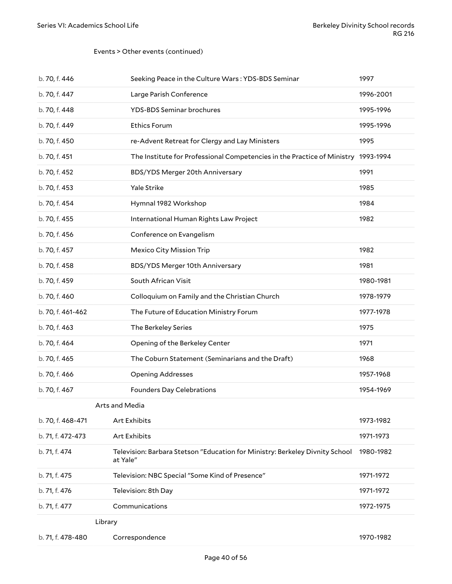#### Events > Other events (continued)

<span id="page-39-1"></span><span id="page-39-0"></span>

| b. 70, f. 446     | Seeking Peace in the Culture Wars: YDS-BDS Seminar                                       | 1997      |
|-------------------|------------------------------------------------------------------------------------------|-----------|
| b. 70, f. 447     | Large Parish Conference                                                                  | 1996-2001 |
| b. 70, f. 448     | <b>YDS-BDS Seminar brochures</b>                                                         | 1995-1996 |
| b. 70, f. 449     | <b>Ethics Forum</b>                                                                      | 1995-1996 |
| b. 70, f. 450     | re-Advent Retreat for Clergy and Lay Ministers                                           | 1995      |
| b. 70, f. 451     | The Institute for Professional Competencies in the Practice of Ministry                  | 1993-1994 |
| b. 70, f. 452     | BDS/YDS Merger 20th Anniversary                                                          | 1991      |
| b. 70, f. 453     | Yale Strike                                                                              | 1985      |
| b. 70, f. 454     | Hymnal 1982 Workshop                                                                     | 1984      |
| b. 70, f. 455     | International Human Rights Law Project                                                   | 1982      |
| b. 70, f. 456     | Conference on Evangelism                                                                 |           |
| b. 70, f. 457     | <b>Mexico City Mission Trip</b>                                                          | 1982      |
| b. 70, f. 458     | BDS/YDS Merger 10th Anniversary                                                          | 1981      |
| b. 70, f. 459     | South African Visit                                                                      | 1980-1981 |
| b. 70, f. 460     | Colloquium on Family and the Christian Church                                            | 1978-1979 |
| b. 70, f. 461-462 | The Future of Education Ministry Forum                                                   | 1977-1978 |
| b. 70, f. 463     | The Berkeley Series                                                                      | 1975      |
| b. 70, f. 464     | Opening of the Berkeley Center                                                           | 1971      |
| b. 70, f. 465     | The Coburn Statement (Seminarians and the Draft)                                         | 1968      |
| b. 70, f. 466     | <b>Opening Addresses</b>                                                                 | 1957-1968 |
| b. 70, f. 467     | <b>Founders Day Celebrations</b>                                                         | 1954-1969 |
|                   | Arts and Media                                                                           |           |
| b. 70, f. 468-471 | Art Exhibits                                                                             | 1973-1982 |
| b. 71, f. 472-473 | Art Exhibits                                                                             | 1971-1973 |
| b. 71, f. 474     | Television: Barbara Stetson "Education for Ministry: Berkeley Divnity School<br>at Yale" | 1980-1982 |
| b. 71, f. 475     | Television: NBC Special "Some Kind of Presence"                                          | 1971-1972 |
| b. 71, f. 476     | Television: 8th Day                                                                      | 1971-1972 |
| b. 71, f. 477     | Communications                                                                           | 1972-1975 |
| Library           |                                                                                          |           |
| b. 71, f. 478-480 | Correspondence                                                                           | 1970-1982 |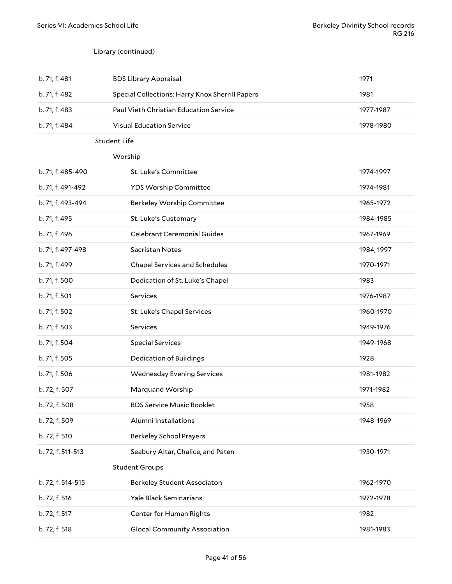#### Library (continued)

<span id="page-40-2"></span><span id="page-40-1"></span><span id="page-40-0"></span>

| b. 71, f. 481     | <b>BDS Library Appraisal</b>                    | 1971       |
|-------------------|-------------------------------------------------|------------|
| b. 71, f. 482     | Special Collections: Harry Knox Sherrill Papers | 1981       |
| b. 71, f. 483     | Paul Vieth Christian Education Service          | 1977-1987  |
| b. 71, f. 484     | <b>Visual Education Service</b>                 | 1978-1980  |
|                   | <b>Student Life</b>                             |            |
|                   | Worship                                         |            |
| b. 71, f. 485-490 | St. Luke's Committee                            | 1974-1997  |
| b. 71, f. 491-492 | YDS Worship Committee                           | 1974-1981  |
| b. 71, f. 493-494 | Berkeley Worship Committee                      | 1965-1972  |
| b. 71, f. 495     | St. Luke's Customary                            | 1984-1985  |
| b. 71, f. 496     | <b>Celebrant Ceremonial Guides</b>              | 1967-1969  |
| b. 71, f. 497-498 | Sacristan Notes                                 | 1984, 1997 |
| b. 71, f. 499     | <b>Chapel Services and Schedules</b>            | 1970-1971  |
| b. 71, f. 500     | Dedication of St. Luke's Chapel                 | 1983       |
| b. 71, f. 501     | Services                                        | 1976-1987  |
| b. 71, f. 502     | St. Luke's Chapel Services                      | 1960-1970  |
| b. 71, f. 503     | Services                                        | 1949-1976  |
| b. 71, f. 504     | <b>Special Services</b>                         | 1949-1968  |
| b. 71, f. 505     | <b>Dedication of Buildings</b>                  | 1928       |
| b. 71, f. 506     | <b>Wednesday Evening Services</b>               | 1981-1982  |
| b. 72, f. 507     | Marquand Worship                                | 1971-1982  |
| b. 72, f. 508     | <b>BDS Service Music Booklet</b>                | 1958       |
| b. 72, f. 509     | Alumni Installations                            | 1948-1969  |
| b. 72, f. 510     | <b>Berkeley School Prayers</b>                  |            |
| b. 72, f. 511-513 | Seabury Altar, Chalice, and Paten               | 1930-1971  |
|                   | <b>Student Groups</b>                           |            |
| b. 72, f. 514-515 | <b>Berkeley Student Associaton</b>              | 1962-1970  |
| b. 72, f. 516     | Yale Black Seminarians                          | 1972-1978  |
| b. 72, f. 517     | Center for Human Rights                         | 1982       |
| b. 72, f. 518     | <b>Glocal Community Association</b>             | 1981-1983  |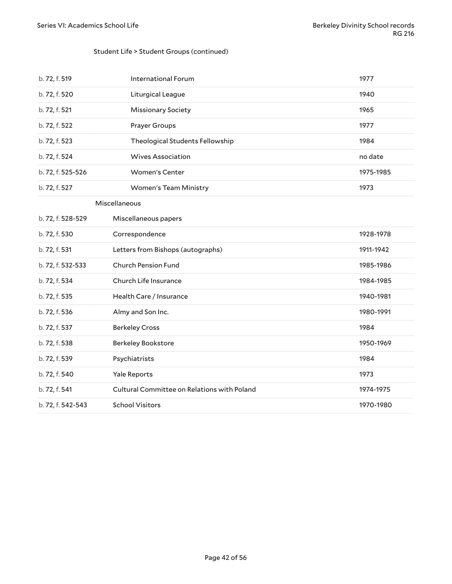#### Student Life > Student Groups (continued)

<span id="page-41-0"></span>

| b. 72, f. 519     | <b>International Forum</b>                  | 1977      |
|-------------------|---------------------------------------------|-----------|
| b. 72, f. 520     | Liturgical League                           | 1940      |
| b. 72, f. 521     | <b>Missionary Society</b>                   | 1965      |
| b. 72, f. 522     | Prayer Groups                               | 1977      |
| b. 72, f. 523     | Theological Students Fellowship             | 1984      |
| b. 72, f. 524     | <b>Wives Association</b>                    | no date   |
| b. 72, f. 525-526 | Women's Center                              | 1975-1985 |
| b. 72, f. 527     | Women's Team Ministry                       | 1973      |
|                   | Miscellaneous                               |           |
| b. 72, f. 528-529 | Miscellaneous papers                        |           |
| b. 72, f. 530     | Correspondence                              | 1928-1978 |
| b. 72, f. 531     | Letters from Bishops (autographs)           | 1911-1942 |
| b. 72, f. 532-533 | Church Pension Fund                         | 1985-1986 |
| b. 72, f. 534     | Church Life Insurance                       | 1984-1985 |
| b. 72, f. 535     | Health Care / Insurance                     | 1940-1981 |
| b. 72, f. 536     | Almy and Son Inc.                           | 1980-1991 |
| b. 72, f. 537     | <b>Berkeley Cross</b>                       | 1984      |
| b. 72, f. 538     | Berkeley Bookstore                          | 1950-1969 |
| b. 72, f. 539     | Psychiatrists                               | 1984      |
| b. 72, f. 540     | Yale Reports                                | 1973      |
| b. 72, f. 541     | Cultural Committee on Relations with Poland | 1974-1975 |
| b. 72, f. 542-543 | <b>School Visitors</b>                      | 1970-1980 |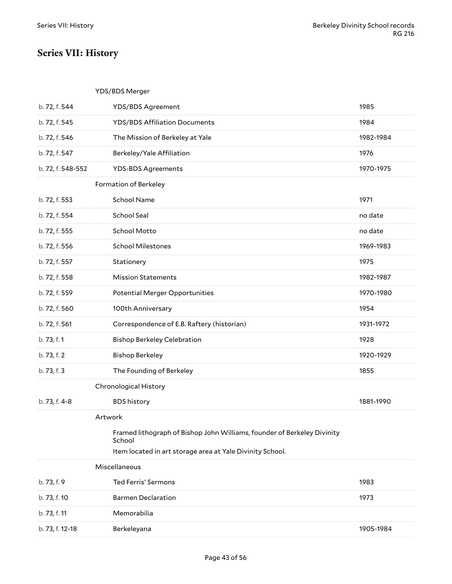# <span id="page-42-0"></span>**Series VII: History**

#### <span id="page-42-2"></span><span id="page-42-1"></span>YDS/BDS Merger

<span id="page-42-5"></span><span id="page-42-4"></span><span id="page-42-3"></span>

| b. 72, f. 544     | <b>YDS/BDS Agreement</b>                                                          | 1985      |
|-------------------|-----------------------------------------------------------------------------------|-----------|
| b. 72, f. 545     | <b>YDS/BDS Affiliation Documents</b>                                              | 1984      |
| b. 72, f. 546     | The Mission of Berkeley at Yale                                                   | 1982-1984 |
| b. 72, f. 547     | Berkeley/Yale Affiliation                                                         | 1976      |
| b. 72, f. 548-552 | <b>YDS-BDS Agreements</b>                                                         | 1970-1975 |
|                   | Formation of Berkeley                                                             |           |
| b. 72, f. 553     | <b>School Name</b>                                                                | 1971      |
| b. 72, f. 554     | School Seal                                                                       | no date   |
| b. 72, f. 555     | School Motto                                                                      | no date   |
| b. 72, f. 556     | <b>School Milestones</b>                                                          | 1969-1983 |
| b. 72, f. 557     | Stationery                                                                        | 1975      |
| b. 72, f. 558     | <b>Mission Statements</b>                                                         | 1982-1987 |
| b. 72, f. 559     | <b>Potential Merger Opportunities</b>                                             | 1970-1980 |
| b. 72, f. 560     | 100th Anniversary                                                                 | 1954      |
| b. 72, f. 561     | Correspondence of E.B. Raftery (historian)                                        | 1931-1972 |
| b. 73, f. 1       | <b>Bishop Berkeley Celebration</b>                                                | 1928      |
| b. 73, f. 2       | <b>Bishop Berkeley</b>                                                            | 1920-1929 |
| b. 73, f. 3       | The Founding of Berkeley                                                          | 1855      |
|                   | Chronological History                                                             |           |
| b. 73, f. 4-8     | <b>BDS</b> history                                                                | 1881-1990 |
|                   | Artwork                                                                           |           |
|                   | Framed lithograph of Bishop John Williams, founder of Berkeley Divinity<br>School |           |
|                   | Item located in art storage area at Yale Divinity School.                         |           |
|                   | Miscellaneous                                                                     |           |
| b. 73, f. 9       | <b>Ted Ferris' Sermons</b>                                                        | 1983      |
| b. 73, f. 10      | <b>Barmen Declaration</b>                                                         | 1973      |
| b. 73, f. 11      | Memorabilia                                                                       |           |
| b. 73, f. 12-18   | Berkeleyana                                                                       | 1905-1984 |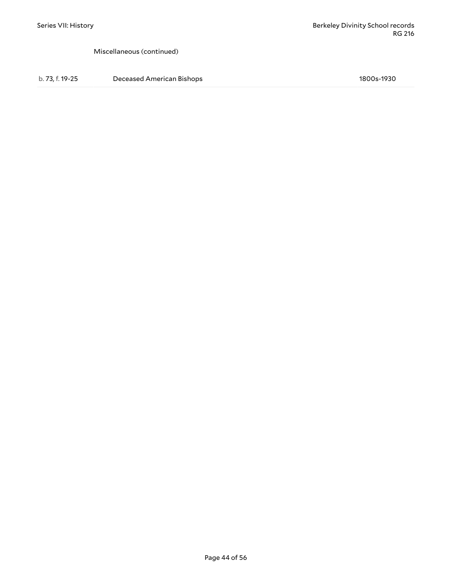Miscellaneous (continued)

b. 73, f. 19-25 Deceased American Bishops 1800s-1930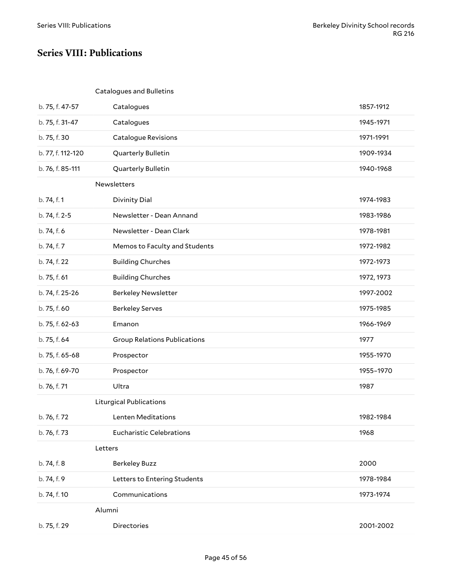### <span id="page-44-0"></span>**Series VIII: Publications**

#### <span id="page-44-2"></span><span id="page-44-1"></span>Catalogues and Bulletins

<span id="page-44-5"></span><span id="page-44-4"></span><span id="page-44-3"></span>

| b. 75, f. 47-57   | Catalogues                          | 1857-1912  |
|-------------------|-------------------------------------|------------|
| b. 75, f. 31-47   | Catalogues                          | 1945-1971  |
| b. 75, f. 30      | <b>Catalogue Revisions</b>          | 1971-1991  |
| b. 77, f. 112-120 | Quarterly Bulletin                  | 1909-1934  |
| b. 76, f. 85-111  | Quarterly Bulletin                  | 1940-1968  |
|                   | Newsletters                         |            |
| b. 74, f. 1       | <b>Divinity Dial</b>                | 1974-1983  |
| b. 74, f. 2-5     | Newsletter - Dean Annand            | 1983-1986  |
| b. 74, f. 6       | Newsletter - Dean Clark             | 1978-1981  |
| b. 74, f. 7       | Memos to Faculty and Students       | 1972-1982  |
| b. 74, f. 22      | <b>Building Churches</b>            | 1972-1973  |
| b. 75, f. 61      | <b>Building Churches</b>            | 1972, 1973 |
| b. 74, f. 25-26   | <b>Berkeley Newsletter</b>          | 1997-2002  |
| b. 75, f. 60      | <b>Berkeley Serves</b>              | 1975-1985  |
| b. 75, f. 62-63   | Emanon                              | 1966-1969  |
| b. 75, f. 64      | <b>Group Relations Publications</b> | 1977       |
| b. 75, f. 65-68   | Prospector                          | 1955-1970  |
| b. 76, f. 69-70   | Prospector                          | 1955-1970  |
| b. 76, f. 71      | Ultra                               | 1987       |
|                   | <b>Liturgical Publications</b>      |            |
| b. 76, f. 72      | Lenten Meditations                  | 1982-1984  |
| b. 76, f. 73      | <b>Eucharistic Celebrations</b>     | 1968       |
|                   | Letters                             |            |
| b. 74, f. 8       | <b>Berkeley Buzz</b>                | 2000       |
| b. 74, f. 9       | Letters to Entering Students        | 1978-1984  |
| b. 74, f. 10      | Communications                      | 1973-1974  |
|                   | Alumni                              |            |
| b. 75, f. 29      | Directories                         | 2001-2002  |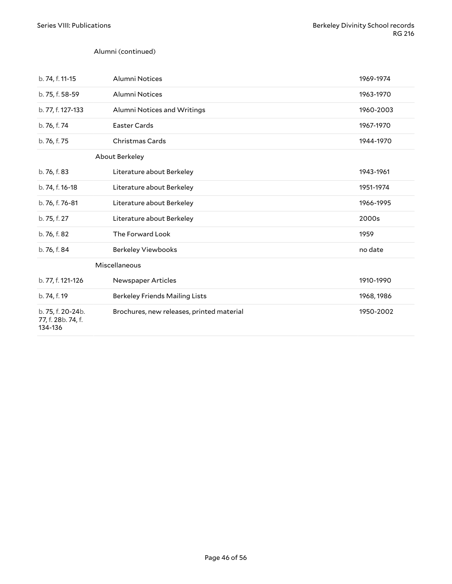#### Alumni (continued)

<span id="page-45-1"></span><span id="page-45-0"></span>

| b. 74, f. 11-15                                    | Alumni Notices                            | 1969-1974  |
|----------------------------------------------------|-------------------------------------------|------------|
| b. 75, f. 58-59                                    | Alumni Notices                            | 1963-1970  |
| b. 77, f. 127-133                                  | Alumni Notices and Writings               | 1960-2003  |
| b. 76, f. 74                                       | <b>Easter Cards</b>                       | 1967-1970  |
| b. 76, f. 75                                       | Christmas Cards                           | 1944-1970  |
|                                                    | About Berkeley                            |            |
| b. 76, f. 83                                       | Literature about Berkeley                 | 1943-1961  |
| b. 74, f. 16-18                                    | Literature about Berkeley                 | 1951-1974  |
| b. 76, f. 76-81                                    | Literature about Berkeley                 | 1966-1995  |
| b. 75, f. 27                                       | Literature about Berkeley                 | 2000s      |
| b. 76, f. 82                                       | The Forward Look                          | 1959       |
| b. 76, f. 84                                       | <b>Berkeley Viewbooks</b>                 | no date    |
|                                                    | Miscellaneous                             |            |
| b. 77, f. 121-126                                  | Newspaper Articles                        | 1910-1990  |
| b. 74, f. 19                                       | <b>Berkeley Friends Mailing Lists</b>     | 1968, 1986 |
| b. 75, f. 20-24b.<br>77, f. 28b. 74, f.<br>134-136 | Brochures, new releases, printed material | 1950-2002  |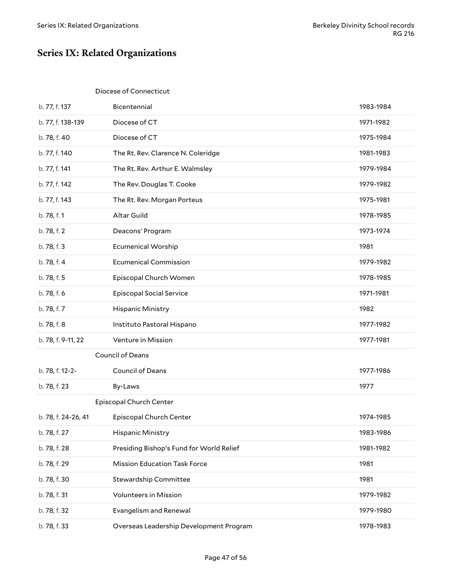# <span id="page-46-0"></span>**Series IX: Related Organizations**

#### <span id="page-46-1"></span>Diocese of Connecticut

<span id="page-46-3"></span><span id="page-46-2"></span>

| b. 77, f. 137       | Bicentennial                             | 1983-1984 |
|---------------------|------------------------------------------|-----------|
| b. 77, f. 138-139   | Diocese of CT                            | 1971-1982 |
| b. 78, f. 40        | Diocese of CT                            | 1975-1984 |
| b. 77, f. 140       | The Rt. Rev. Clarence N. Coleridge       | 1981-1983 |
| b. 77, f. 141       | The Rt. Rev. Arthur E. Walmsley          | 1979-1984 |
| b. 77, f. 142       | The Rev. Douglas T. Cooke                | 1979-1982 |
| b. 77, f. 143       | The Rt. Rev. Morgan Porteus              | 1975-1981 |
| b. 78, f. 1         | Altar Guild                              | 1978-1985 |
| b. 78, f. 2         | Deacons' Program                         | 1973-1974 |
| b. 78, f. 3         | <b>Ecumenical Worship</b>                | 1981      |
| b. 78, f. 4         | <b>Ecumenical Commission</b>             | 1979-1982 |
| b. 78, f. 5         | Episcopal Church Women                   | 1978-1985 |
| b. 78, f. 6         | <b>Episcopal Social Service</b>          | 1971-1981 |
| b. 78, f. 7         | Hispanic Ministry                        | 1982      |
| b. 78, f. 8         | Instituto Pastoral Hispano               | 1977-1982 |
| b. 78, f. 9-11, 22  | Venture in Mission                       | 1977-1981 |
|                     | <b>Council of Deans</b>                  |           |
| b. 78, f. 12-2-     | Council of Deans                         | 1977-1986 |
| b. 78, f. 23        | By-Laws                                  | 1977      |
|                     | Episcopal Church Center                  |           |
| b. 78, f. 24-26, 41 | Episcopal Church Center                  | 1974-1985 |
| b. 78, f. 27        | Hispanic Ministry                        | 1983-1986 |
| b. 78, f. 28        | Presiding Bishop's Fund for World Relief | 1981-1982 |
| b. 78, f. 29        | <b>Mission Education Task Force</b>      | 1981      |
| b. 78, f. 30        | Stewardship Committee                    | 1981      |
| b. 78, f. 31        | Volunteers in Mission                    | 1979-1982 |
| b. 78, f. 32        | <b>Evangelism and Renewal</b>            | 1979-1980 |
| b. 78, f. 33        | Overseas Leadership Development Program  | 1978-1983 |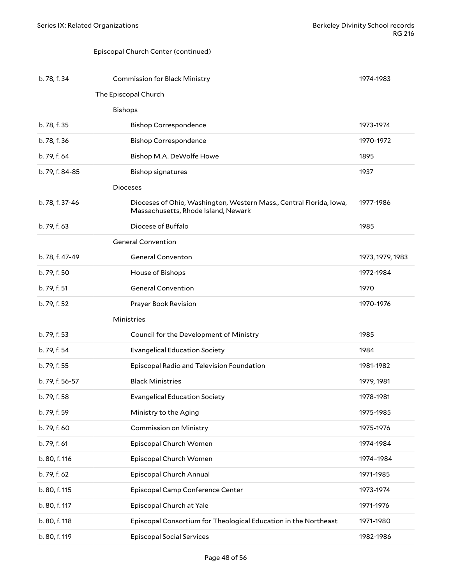#### <span id="page-47-1"></span><span id="page-47-0"></span>Episcopal Church Center (continued)

<span id="page-47-4"></span><span id="page-47-3"></span><span id="page-47-2"></span>

| b. 78, f. 34    | <b>Commission for Black Ministry</b>                                                                       | 1974-1983        |
|-----------------|------------------------------------------------------------------------------------------------------------|------------------|
|                 | The Episcopal Church                                                                                       |                  |
|                 | <b>Bishops</b>                                                                                             |                  |
| b. 78, f. 35    | <b>Bishop Correspondence</b>                                                                               | 1973-1974        |
| b. 78, f. 36    | <b>Bishop Correspondence</b>                                                                               | 1970-1972        |
| b. 79, f. 64    | Bishop M.A. DeWolfe Howe                                                                                   | 1895             |
| b. 79, f. 84-85 | <b>Bishop signatures</b>                                                                                   | 1937             |
|                 | <b>Dioceses</b>                                                                                            |                  |
| b. 78, f. 37-46 | Dioceses of Ohio, Washington, Western Mass., Central Florida, Iowa,<br>Massachusetts, Rhode Island, Newark | 1977-1986        |
| b. 79, f. 63    | Diocese of Buffalo                                                                                         | 1985             |
|                 | <b>General Convention</b>                                                                                  |                  |
| b. 78, f. 47-49 | <b>General Conventon</b>                                                                                   | 1973, 1979, 1983 |
| b. 79, f. 50    | House of Bishops                                                                                           | 1972-1984        |
| b. 79, f. 51    | <b>General Convention</b>                                                                                  | 1970             |
| b. 79, f. 52    | Prayer Book Revision                                                                                       | 1970-1976        |
|                 | Ministries                                                                                                 |                  |
| b. 79, f. 53    | Council for the Development of Ministry                                                                    | 1985             |
| b. 79, f. 54    | <b>Evangelical Education Society</b>                                                                       | 1984             |
| b. 79, f. 55    | Episcopal Radio and Television Foundation                                                                  | 1981-1982        |
| b. 79, f. 56-57 | <b>Black Ministries</b>                                                                                    | 1979, 1981       |
| b. 79, f. 58    | <b>Evangelical Education Society</b>                                                                       | 1978-1981        |
| b. 79, f. 59    | Ministry to the Aging                                                                                      | 1975-1985        |
| b. 79, f. 60    | <b>Commission on Ministry</b>                                                                              | 1975-1976        |
| b. 79, f. 61    | Episcopal Church Women                                                                                     | 1974-1984        |
| b. 80, f. 116   | Episcopal Church Women                                                                                     | 1974-1984        |
| b. 79, f. 62    | Episcopal Church Annual                                                                                    | 1971-1985        |
| b. 80, f. 115   | Episcopal Camp Conference Center                                                                           | 1973-1974        |
| b. 80, f. 117   | Episcopal Church at Yale                                                                                   | 1971-1976        |
| b. 80, f. 118   | Episcopal Consortium for Theological Education in the Northeast                                            | 1971-1980        |
| b. 80, f. 119   | <b>Episcopal Social Services</b>                                                                           | 1982-1986        |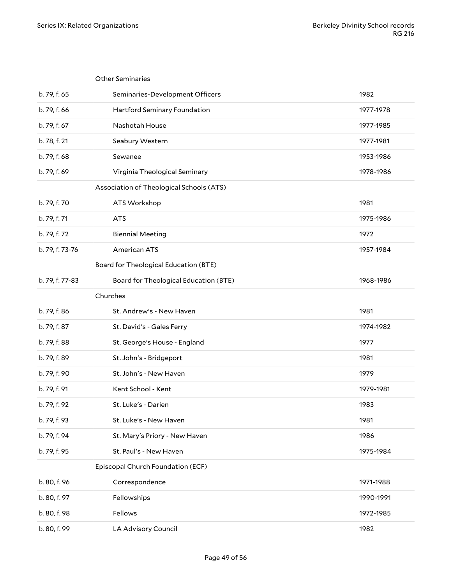<span id="page-48-4"></span><span id="page-48-3"></span><span id="page-48-2"></span><span id="page-48-1"></span><span id="page-48-0"></span>

|                 | <b>Other Seminaries</b>                      |           |
|-----------------|----------------------------------------------|-----------|
| b. 79, f. 65    | Seminaries-Development Officers              | 1982      |
| b. 79, f. 66    | Hartford Seminary Foundation                 | 1977-1978 |
| b. 79, f. 67    | Nashotah House                               | 1977-1985 |
| b. 78, f. 21    | Seabury Western                              | 1977-1981 |
| b. 79, f. 68    | Sewanee                                      | 1953-1986 |
| b. 79, f. 69    | Virginia Theological Seminary                | 1978-1986 |
|                 | Association of Theological Schools (ATS)     |           |
| b. 79, f. 70    | ATS Workshop                                 | 1981      |
| b. 79, f. 71    | <b>ATS</b>                                   | 1975-1986 |
| b. 79, f. 72    | <b>Biennial Meeting</b>                      | 1972      |
| b. 79, f. 73-76 | <b>American ATS</b>                          | 1957-1984 |
|                 | <b>Board for Theological Education (BTE)</b> |           |
| b. 79, f. 77-83 | <b>Board for Theological Education (BTE)</b> | 1968-1986 |
|                 | Churches                                     |           |
|                 |                                              |           |
| b. 79, f. 86    | St. Andrew's - New Haven                     | 1981      |
| b. 79, f. 87    | St. David's - Gales Ferry                    | 1974-1982 |
| b. 79, f. 88    | St. George's House - England                 | 1977      |
| b. 79, f. 89    | St. John's - Bridgeport                      | 1981      |
| b. 79, f. 90    | St. John's - New Haven                       | 1979      |
| b. 79, f. 91    | Kent School - Kent                           | 1979-1981 |
| b. 79, f. 92    | St. Luke's - Darien                          | 1983      |
| b. 79, f. 93    | St. Luke's - New Haven                       | 1981      |
| b. 79, f. 94    | St. Mary's Priory - New Haven                | 1986      |
| b. 79, f. 95    | St. Paul's - New Haven                       | 1975-1984 |
|                 | Episcopal Church Foundation (ECF)            |           |
| b. 80, f. 96    | Correspondence                               | 1971-1988 |
| b. 80, f. 97    | Fellowships                                  | 1990-1991 |
| b. 80, f. 98    | Fellows                                      | 1972-1985 |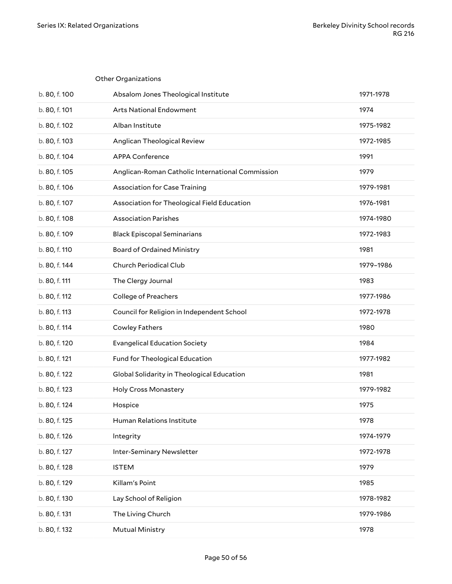<span id="page-49-0"></span>

|               | <b>Other Organizations</b>                       |           |
|---------------|--------------------------------------------------|-----------|
| b. 80, f. 100 | Absalom Jones Theological Institute              | 1971-1978 |
| b. 80, f. 101 | <b>Arts National Endowment</b>                   | 1974      |
| b. 80, f. 102 | Alban Institute                                  | 1975-1982 |
| b. 80, f. 103 | Anglican Theological Review                      | 1972-1985 |
| b. 80, f. 104 | <b>APPA Conference</b>                           | 1991      |
| b. 80, f. 105 | Anglican-Roman Catholic International Commission | 1979      |
| b. 80, f. 106 | <b>Association for Case Training</b>             | 1979-1981 |
| b. 80, f. 107 | Association for Theological Field Education      | 1976-1981 |
| b. 80, f. 108 | <b>Association Parishes</b>                      | 1974-1980 |
| b. 80, f. 109 | <b>Black Episcopal Seminarians</b>               | 1972-1983 |
| b. 80, f. 110 | <b>Board of Ordained Ministry</b>                | 1981      |
| b. 80, f. 144 | Church Periodical Club                           | 1979-1986 |
| b. 80, f. 111 | The Clergy Journal                               | 1983      |
| b. 80, f. 112 | <b>College of Preachers</b>                      | 1977-1986 |
| b. 80, f. 113 | Council for Religion in Independent School       | 1972-1978 |
| b. 80, f. 114 | <b>Cowley Fathers</b>                            | 1980      |
| b. 80, f. 120 | <b>Evangelical Education Society</b>             | 1984      |
| b. 80, f. 121 | Fund for Theological Education                   | 1977-1982 |
| b. 80, f. 122 | Global Solidarity in Theological Education       | 1981      |
| b. 80, f. 123 | <b>Holy Cross Monastery</b>                      | 1979-1982 |
| b. 80, f. 124 | Hospice                                          | 1975      |
| b. 80, f. 125 | Human Relations Institute                        | 1978      |
| b. 80, f. 126 | Integrity                                        | 1974-1979 |
| b. 80, f. 127 | Inter-Seminary Newsletter                        | 1972-1978 |
| b. 80, f. 128 | <b>ISTEM</b>                                     | 1979      |
| b. 80, f. 129 | Killam's Point                                   | 1985      |
| b. 80, f. 130 | Lay School of Religion                           | 1978-1982 |
| b. 80, f. 131 | The Living Church                                | 1979-1986 |
| b. 80, f. 132 | <b>Mutual Ministry</b>                           | 1978      |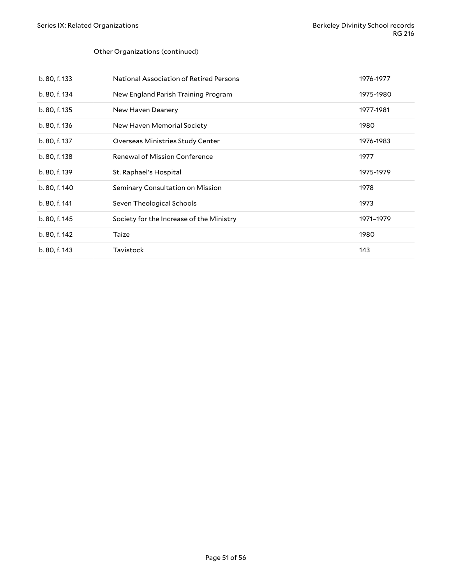#### Other Organizations (continued)

| b. 80, f. 133 | <b>National Association of Retired Persons</b> | 1976-1977 |
|---------------|------------------------------------------------|-----------|
| b. 80, f. 134 | New England Parish Training Program            | 1975-1980 |
| b. 80, f. 135 | New Haven Deanery                              | 1977-1981 |
| b. 80, f. 136 | New Haven Memorial Society                     | 1980      |
| b. 80, f. 137 | Overseas Ministries Study Center               | 1976-1983 |
| b. 80, f. 138 | Renewal of Mission Conference                  | 1977      |
| b. 80, f. 139 | St. Raphael's Hospital                         | 1975-1979 |
|               |                                                |           |
| b. 80, f. 140 | Seminary Consultation on Mission               | 1978      |
| b. 80, f. 141 | Seven Theological Schools                      | 1973      |
| b. 80, f. 145 | Society for the Increase of the Ministry       | 1971-1979 |
| b. 80, f. 142 | Taize                                          | 1980      |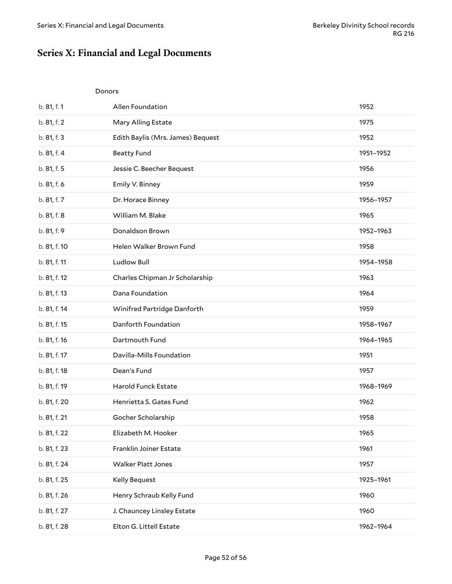# <span id="page-51-0"></span>**Series X: Financial and Legal Documents**

<span id="page-51-1"></span>

|              | Donors                            |           |
|--------------|-----------------------------------|-----------|
| b. 81, f. 1  | Allen Foundation                  | 1952      |
| b. 81, f. 2  | Mary Alling Estate                | 1975      |
| b. 81, f. 3  | Edith Baylis (Mrs. James) Bequest | 1952      |
| b. 81, f. 4  | <b>Beatty Fund</b>                | 1951-1952 |
| b. 81, f. 5  | Jessie C. Beecher Bequest         | 1956      |
| b. 81, f. 6  | Emily V. Binney                   | 1959      |
| b. 81, f. 7  | Dr. Horace Binney                 | 1956-1957 |
| b. 81, f. 8  | William M. Blake                  | 1965      |
| b. 81, f. 9  | Donaldson Brown                   | 1952-1963 |
| b. 81, f. 10 | Helen Walker Brown Fund           | 1958      |
| b. 81, f. 11 | <b>Ludlow Bull</b>                | 1954-1958 |
| b. 81, f. 12 | Charles Chipman Jr Scholarship    | 1963      |
| b. 81, f. 13 | Dana Foundation                   | 1964      |
| b. 81, f. 14 | Winifred Partridge Danforth       | 1959      |
| b. 81, f. 15 | Danforth Foundation               | 1958-1967 |
| b. 81, f. 16 | Dartmouth Fund                    | 1964-1965 |
| b. 81, f. 17 | Davilla-Mills Foundation          | 1951      |
| b. 81, f. 18 | Dean's Fund                       | 1957      |
| b. 81, f. 19 | Harold Funck Estate               | 1968-1969 |
| b. 81, f. 20 | Henrietta S. Gates Fund           | 1962      |
| b. 81, f. 21 | Gocher Scholarship                | 1958      |
| b. 81, f. 22 | Elizabeth M. Hooker               | 1965      |
| b. 81, f. 23 | Franklin Joiner Estate            | 1961      |
| b. 81, f. 24 | <b>Walker Platt Jones</b>         | 1957      |
| b. 81, f. 25 | Kelly Bequest                     | 1925-1961 |
| b. 81, f. 26 | Henry Schraub Kelly Fund          | 1960      |
| b. 81, f. 27 | J. Chauncey Linsley Estate        | 1960      |
| b. 81, f. 28 | Elton G. Littell Estate           | 1962-1964 |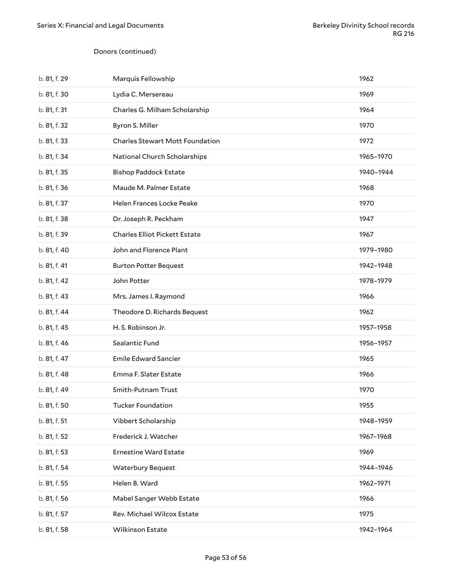#### Donors (continued)

| b. 81, f. 29 | Marquis Fellowship                     | 1962      |
|--------------|----------------------------------------|-----------|
| b. 81, f. 30 | Lydia C. Mersereau                     | 1969      |
| b. 81, f. 31 | Charles G. Milham Scholarship          | 1964      |
| b. 81, f. 32 | Byron S. Miller                        | 1970      |
| b. 81, f. 33 | <b>Charles Stewart Mott Foundation</b> | 1972      |
| b. 81, f. 34 | National Church Scholarships           | 1965-1970 |
| b. 81, f. 35 | <b>Bishop Paddock Estate</b>           | 1940-1944 |
| b. 81, f. 36 | Maude M. Palmer Estate                 | 1968      |
| b. 81, f. 37 | Helen Frances Locke Peake              | 1970      |
| b. 81, f. 38 | Dr. Joseph R. Peckham                  | 1947      |
| b. 81, f. 39 | <b>Charles Elliot Pickett Estate</b>   | 1967      |
| b. 81, f. 40 | John and Florence Plant                | 1979-1980 |
| b. 81, f. 41 | <b>Burton Potter Bequest</b>           | 1942-1948 |
| b. 81, f. 42 | John Potter                            | 1978-1979 |
| b. 81, f. 43 | Mrs. James I. Raymond                  | 1966      |
| b. 81, f. 44 | Theodore D. Richards Bequest           | 1962      |
| b. 81, f. 45 | H.S. Robinson Jr.                      | 1957-1958 |
| b. 81, f. 46 | Sealantic Fund                         | 1956-1957 |
| b. 81, f. 47 | <b>Emile Edward Sancier</b>            | 1965      |
| b. 81, f. 48 | Emma F. Slater Estate                  | 1966      |
| b. 81, f. 49 | Smith-Putnam Trust                     | 1970      |
| b. 81, f. 50 | Tucker Foundation                      | 1955      |
| b. 81, f. 51 | Vibbert Scholarship                    | 1948-1959 |
| b. 81, f. 52 | Frederick J. Watcher                   | 1967-1968 |
| b. 81, f. 53 | <b>Ernestine Ward Estate</b>           | 1969      |
| b. 81, f. 54 | <b>Waterbury Bequest</b>               | 1944-1946 |
| b. 81, f. 55 | Helen B. Ward                          | 1962-1971 |
| b. 81, f. 56 | Mabel Sanger Webb Estate               | 1966      |
| b. 81, f. 57 | Rev. Michael Wilcox Estate             | 1975      |
| b. 81, f. 58 | Wilkinson Estate                       | 1942-1964 |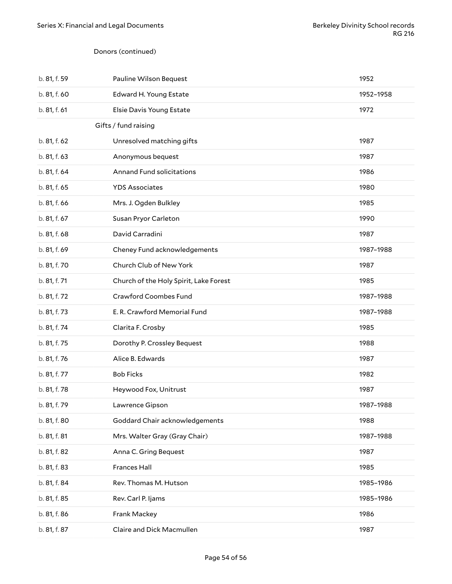#### <span id="page-53-0"></span>Donors (continued)

| b. 81, f. 59 | Pauline Wilson Bequest                 | 1952      |
|--------------|----------------------------------------|-----------|
| b. 81, f. 60 | Edward H. Young Estate                 | 1952-1958 |
| b. 81, f. 61 | Elsie Davis Young Estate               | 1972      |
|              | Gifts / fund raising                   |           |
| b. 81, f. 62 | Unresolved matching gifts              | 1987      |
| b. 81, f. 63 | Anonymous bequest                      | 1987      |
| b. 81, f. 64 | Annand Fund solicitations              | 1986      |
| b. 81, f. 65 | <b>YDS Associates</b>                  | 1980      |
| b. 81, f. 66 | Mrs. J. Ogden Bulkley                  | 1985      |
| b. 81, f. 67 | Susan Pryor Carleton                   | 1990      |
| b. 81, f. 68 | David Carradini                        | 1987      |
| b. 81, f. 69 | Cheney Fund acknowledgements           | 1987-1988 |
| b. 81, f. 70 | Church Club of New York                | 1987      |
| b. 81, f. 71 | Church of the Holy Spirit, Lake Forest | 1985      |
| b. 81, f. 72 | Crawford Coombes Fund                  | 1987-1988 |
| b. 81, f. 73 | E. R. Crawford Memorial Fund           | 1987-1988 |
| b. 81, f. 74 | Clarita F. Crosby                      | 1985      |
| b. 81, f. 75 | Dorothy P. Crossley Bequest            | 1988      |
| b. 81, f. 76 | Alice B. Edwards                       | 1987      |
| b. 81, f. 77 | <b>Bob Ficks</b>                       | 1982      |
| b. 81, f. 78 | Heywood Fox, Unitrust                  | 1987      |
| b. 81, f. 79 | Lawrence Gipson                        | 1987-1988 |
| b. 81, f. 80 | Goddard Chair acknowledgements         | 1988      |
| b. 81, f. 81 | Mrs. Walter Gray (Gray Chair)          | 1987-1988 |
| b. 81, f. 82 | Anna C. Gring Bequest                  | 1987      |
| b. 81, f. 83 | Frances Hall                           | 1985      |
| b. 81, f. 84 | Rev. Thomas M. Hutson                  | 1985-1986 |
| b. 81, f. 85 | Rev. Carl P. Ijams                     | 1985-1986 |
| b. 81, f. 86 | Frank Mackey                           | 1986      |
| b. 81, f. 87 | Claire and Dick Macmullen              | 1987      |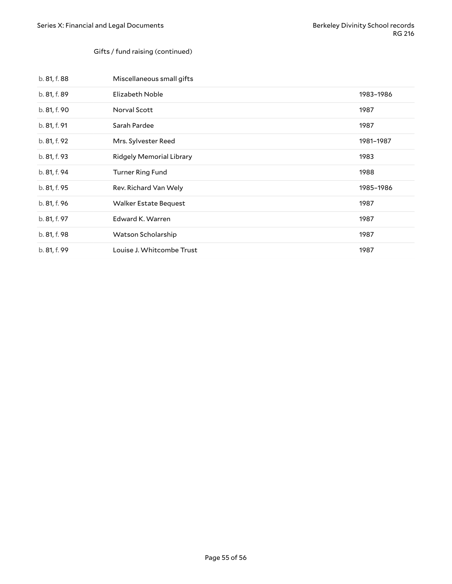#### Gifts / fund raising (continued)

| b. 81, f. 88 | Miscellaneous small gifts       |           |
|--------------|---------------------------------|-----------|
| b. 81, f. 89 | Elizabeth Noble                 | 1983-1986 |
| b. 81, f. 90 | Norval Scott                    | 1987      |
| b. 81, f. 91 | Sarah Pardee                    | 1987      |
| b. 81, f. 92 | Mrs. Sylvester Reed             | 1981-1987 |
| b. 81, f. 93 | <b>Ridgely Memorial Library</b> | 1983      |
| b. 81, f. 94 | <b>Turner Ring Fund</b>         | 1988      |
| b. 81, f. 95 | Rev. Richard Van Wely           | 1985-1986 |
| b. 81, f. 96 | <b>Walker Estate Bequest</b>    | 1987      |
| b. 81, f. 97 | Edward K. Warren                | 1987      |
| b. 81, f. 98 | Watson Scholarship              | 1987      |
| b. 81, f. 99 | Louise J. Whitcombe Trust       | 1987      |